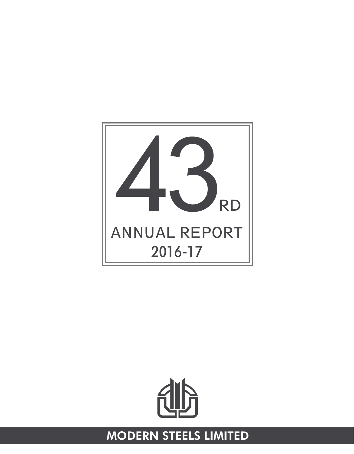



## **MODERN STEELS LIMITED**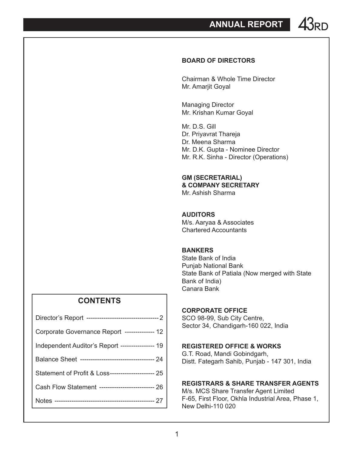**ANNUAL REPORT 43PD** 

#### **BOARD OF DIRECTORS**

Chairman & Whole Time Director Mr. Amarjit Goyal

Managing Director Mr. Krishan Kumar Goyal

Mr. D.S. Gill Dr. Priyavrat Thareja Dr. Meena Sharma Mr. D.K. Gupta - Nominee Director Mr. R.K. Sinha - Director (Operations)

#### **GM (SECRETARIAL) & COMPANY SECRETARY**

Mr. Ashish Sharma

#### **AUDITORS**

M/s. Aaryaa & Associates Chartered Accountants

#### **BANKERS**

State Bank of India Punjab National Bank State Bank of Patiala (Now merged with State Bank of India) Canara Bank

#### **CORPORATE OFFICE**

SCO 98-99, Sub City Centre, Sector 34, Chandigarh-160 022, India

#### **REGISTERED OFFICE & WORKS**

G.T. Road, Mandi Gobindgarh, Distt. Fategarh Sahib, Punjab - 147 301, India

#### **REGISTRARS & SHARE TRANSFER AGENTS**

M/s. MCS Share Transfer Agent Limited F-65, First Floor, Okhla Industrial Area, Phase 1, New Delhi-110 020

### **CONTENTS**

| Corporate Governance Report --------------- 12      |
|-----------------------------------------------------|
| Independent Auditor's Report ---------------- 19    |
|                                                     |
| Statement of Profit & Loss---------------------- 25 |
| Cash Flow Statement -------------------------- 26   |
|                                                     |
|                                                     |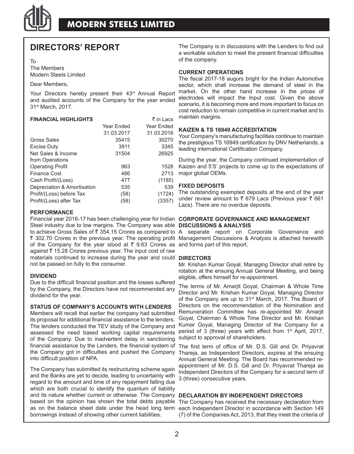

### **DIRECTORS' REPORT**

#### To

The Members Modern Steels Limited

#### Dear Members,

Your Directors hereby present their 43<sup>rd</sup> Annual Report and audited accounts of the Company for the year ended 31st March, 2017.

#### **FINANCIAL HIGHLIGHTS**  $\bar{\tau}$  in Lacs

| Year Ended | Year Ended |
|------------|------------|
| 31.03.2017 | 31.03.2016 |
| 35415      | 30270      |
| 3911       | 3345       |
| 31504      | 26925      |
|            |            |
| 963        | 1528       |
| 486        | 2713       |
| 477        | (1185)     |
| 535        | 539        |
| (58)       | (1724)     |
| (58)       | (3357)     |
|            |            |

#### **PERFORMANCE**

Financial year 2016-17 has been challenging year for Indian **CORPORATE GOVERNANCE AND MANAGEMENT**  Steel industry due to low margins. The Company was able **DISCUSSIONS & ANALYSIS** to achieve Gross Sales of ₹ 354.15 Crores as compared to A separate report on Corporate Governance and ₹ 302.70 Crores in the previous year. The operating profit Management Discussions & Analysis is attached herewith of the Company for the year stood at  $\bar{\tau}$  9.63 Crores as and forms part of this report. against ₹ 15.28 Crores previous year. The input cost of raw materials continued to increase during the year and could **DIRECTORS** not be passed on fully to the consumer.

#### **DIVIDEND**

Due to the difficult financial position and the losses suffered by the Company, the Directors have not recommended any dividend for the year.

#### **STATUS OF COMPANY'S ACCOUNTS WITH LENDERS**

Members will recall that earlier the company had submitted its proposal for additional financial assistance to the lenders. The lenders conducted the TEV study of the Company and assessed the need based working capital requirements of the Company. Due to inadvertent delay in sanctioning financial assistance by the Lenders, the financial system of the Company got in difficulties and pushed the Company into difficult position of NPA.

The Company has submitted its restructuring scheme again and the Banks are yet to decide, leading to uncertainty with regard to the amount and time of any repayment falling due which are both crucial to identify the quantum of liability and its nature whether current or otherwise. The Company **DECLARATION BY INDEPENDENT DIRECTORS** based on the opinion has shown the total debts payable as on the balance sheet date under the head long term borrowings instead of showing other current liabilities.

The Company is in discussions with the Lenders to find out a workable solution to meet the present financial difficulties of the company.

#### **CURRENT OPERATIONS**

The fiscal 2017-18 augurs bright for the Indian Automotive sector, which shall increase the demand of steel in the market. On the other hand increase in the prices of electrodes will impact the Input cost. Given the above scenario, it is becoming more and more important to focus on cost reduction to remain competitive in current market and to maintain margins.

#### **KAIZEN & TS 16949 ACCREDITATION**

Your Company's manufacturing facilities continue to maintain the prestigious TS 16949 certification by DNV Netherlands, a leading international Certification Company.

During the year, the Company continued implementation of Kaizen and 5'S' projects to come up to the expectations of major global OEMs.

#### **FIXED DEPOSITS**

The outstanding exempted deposits at the end of the year under review amount to  $\bar{\tau}$  679 Lacs (Previous year  $\bar{\tau}$  661 Lacs). There are no overdue deposits.

Mr. Krishan Kumar Goyal, Managing Director shall retire by rotation at the ensuing Annual General Meeting, and being eligible, offers himself for re-appointment.

The terms of Mr. Amarjit Goyal, Chairman & Whole Time Director and Mr. Krishan Kumar Goyal, Managing Director of the Company are up to 31st March, 2017. The Board of Directors on the recommendation of the Nomination and Remuneration Committee has re-appointed Mr. Amarjit Goyal, Chairman & Whole Time Director and Mr. Krishan Kumar Goyal, Managing Director of the Company for a period of 3 (three) years with effect from 1<sup>st</sup> April, 2017, subject to approval of shareholders.

The first term of office of Mr. D.S. Gill and Dr. Priyavrat Thareja, as Independent Directors, expires at the ensuing Annual General Meeting. The Board has recommended reappointment of Mr. D.S. Gill and Dr. Priyavrat Thareja as Independent Directors of the Company for a second term of 3 (three) consecutive years.

The Company has received the necessary declaration from each Independent Director in accordance with Section 149 (7) of the Companies Act, 2013, that they meet the criteria of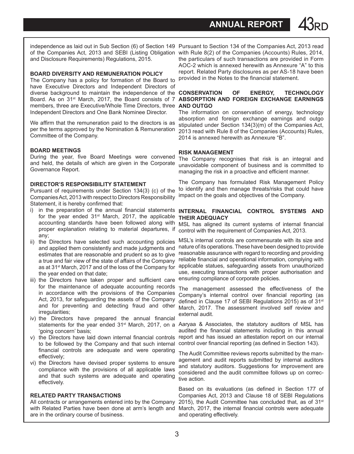**ANNUAL REPORT** 

and Disclosure Requirements) Regulations, 2015.

#### **BOARD DIVERSITY AND REMUNERATION POLICY**

The Company has a policy for formation of the Board to have Executive Directors and Independent Directors of diverse background to maintain the independence of the **CONSERVATION OF ENERGY, TECHNOLOGY**  Board. As on 31st March, 2017, the Board consists of 7 members, three are Executive/Whole Time Directors, three **AND OUTGO** Independent Directors and One Bank Nominee Director.

We affirm that the remuneration paid to the directors is as per the terms approved by the Nomination & Remuneration Committee of the Company.

#### **BOARD MEETINGS**

During the year, five Board Meetings were convened and held, the details of which are given in the Corporate Governance Report.

#### **DIRECTOR'S RESPONSIBILITY STATEMENT**

Pursuant of requirements under Section 134(3) (c) of the Companies Act, 2013 with respect to Directors Responsibility Statement, it is hereby confirmed that:

- i) in the preparation of the annual financial statements for the year ended 31<sup>st</sup> March, 2017, the applicable accounting standards have been followed along with proper explanation relating to material departures, if any;
- ii) the Directors have selected such accounting policies and applied them consistently and made judgments and estimates that are reasonable and prudent so as to give a true and fair view of the state of affairs of the Company as at 31st March, 2017 and of the loss of the Company for the year ended on that date;
- iii) the Directors have taken proper and sufficient care for the maintenance of adequate accounting records in accordance with the provisions of the Companies Act, 2013, for safeguarding the assets of the Company and for preventing and detecting fraud and other irregularities;
- iv) the Directors have prepared the annual financial 'going concern' basis;
- v) the Directors have laid down internal financial controls to be followed by the Company and that such internal financial controls are adequate and were operating effectively;
- vi) the Directors have devised proper systems to ensure compliance with the provisions of all applicable laws and that such systems are adequate and operating effectively.

#### **RELATED PARTY TRANSACTIONS**

All contracts or arrangements entered into by the Company with Related Parties have been done at arm's length and are in the ordinary course of business.

independence as laid out in Sub Section (6) of Section 149 Pursuant to Section 134 of the Companies Act, 2013 read of the Companies Act, 2013 and SEBI (Listing Obligation with Rule 8(2) of the Companies (Accounts) Rules, 2014, the particulars of such transactions are provided in Form AOC-2 which is annexed herewith as Annexure "A" to this report. Related Party disclosures as per AS-18 have been provided in the Notes to the financial statement.

# **ABSORPTION AND FOREIGN EXCHANGE EARNINGS**

The information on conservation of energy, technology absorption and foreign exchange earnings and outgo stipulated under Section 134(3)(m) of the Companies Act, 2013 read with Rule 8 of the Companies (Accounts) Rules, 2014 is annexed herewith as Annexure "B".

#### **RISK MANAGEMENT**

The Company recognises that risk is an integral and unavoidable component of business and is committed to managing the risk in a proactive and efficient manner.

The Company has formulated Risk Management Policy to identify and then manage threats/risks that could have impact on the goals and objectives of the Company.

#### **INTERNAL FINANCIAL CONTROL SYSTEMS AND THEIR ADEQUACY**

MSL has aligned its current systems of internal financial control with the requirement of Companies Act, 2013.

MSL's internal controls are commensurate with its size and nature of its operations. These have been designed to provide reasonable assurance with regard to recording and providing reliable financial and operational information, complying with applicable statues, safeguarding assets from unauthorized use, executing transactions with proper authorisation and ensuring compliance of corporate policies.

The management assessed the effectiveness of the Company's internal control over financial reporting (as defined in Clause 17 of SEBI Regulations 2015) as of 31<sup>st</sup> March, 2017. The assessment involved self review and external audit.

statements for the year ended 31<sup>st</sup> March, 2017, on a Aaryaa & Associates, the statutory auditors of MSL has audited the financial statements including in this annual report and has issued an attestation report on our internal control over financial reporting (as defined in Section 143).

> The Audit Committee reviews reports submitted by the management and audit reports submitted by internal auditors and statutory auditors. Suggestions for improvement are considered and the audit committee follows up on corrective action.

> Based on its evaluations (as defined in Section 177 of Companies Act, 2013 and Clause 18 of SEBI Regulations 2015), the Audit Committee has concluded that, as of  $31<sup>st</sup>$ March, 2017, the internal financial controls were adequate and operating effectively.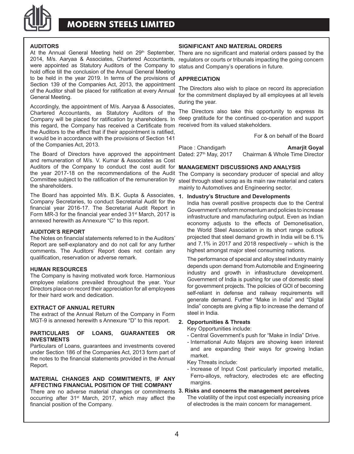

### **MODERN STEELS LIMITED**

#### **AUDITORS**

At the Annual General Meeting held on 29<sup>th</sup> September, 2014, M/s. Aaryaa & Associates, Chartered Accountants, were appointed as Statutory Auditors of the Company to hold office till the conclusion of the Annual General Meeting to be held in the year 2019. In terms of the provisions of **APPRECIATION** Section 139 of the Companies Act, 2013, the appointment of the Auditor shall be placed for ratification at every Annual General Meeting.

Accordingly, the appointment of M/s. Aaryaa & Associates, Chartered Accountants, as Statutory Auditors of the Company will be placed for ratification by shareholders. In this regard, the Company has received a Certificate from received from its valued stakeholders. the Auditors to the effect that if their appointment is ratified, it would be in accordance with the provisions of Section 141 of the Companies Act, 2013.

The Board of Directors have approved the appointment Dated:  $27<sup>th</sup>$  May 2017 and remuneration of M/s. V. Kumar & Associates as Cost Auditors of the Company to conduct the cost audit for **MANAGEMENT DISCUSSIONS AND ANALYSIS** the year 2017-18 on the recommendations of the Audit Committee subject to the ratification of the remuneration by steel through steel scrap as its main raw material and caters the shareholders.

The Board has appointed M/s. B.K. Gupta & Associates, **1. Industry's Structure and Developments** Company Secretaries, to conduct Secretarial Audit for the financial year 2016-17. The Secretarial Audit Report in Form MR-3 for the financial year ended 31st March, 2017 is annexed herewith as Annexure "C" to this report.

#### **AUDITOR'S REPORT**

The Notes on financial statements referred to in the Auditors' Report are self-explanatory and do not call for any further comments. The Auditors' Report does not contain any qualification, reservation or adverse remark.

#### **HUMAN RESOURCES**

The Company is having motivated work force. Harmonious employee relations prevailed throughout the year. Your Directors place on record their appreciation for all employees for their hard work and dedication.

#### **EXTRACT OF ANNUAL RETURN**

The extract of the Annual Return of the Company in Form MGT-9 is annexed herewith s Annexure "D" to this report.

#### **PARTICULARS OF LOANS, GUARANTEES OR INVESTMENTS**

Particulars of Loans, guarantees and investments covered under Section 186 of the Companies Act, 2013 form part of the notes to the financial statements provided in the Annual Report.

#### **MATERIAL CHANGES AND COMMITMENTS, IF ANY AFFECTING FINANCIAL POSITION OF THE COMPANY**

There are no adverse material changes or commitments **3. Risks and concerns the management perceives** occurring after 31st March, 2017, which may affect the financial position of the Company.

#### **SIGNIFICANT AND MATERIAL ORDERS**

There are no significant and material orders passed by the regulators or courts or tribunals impacting the going concern status and Company's operations in future.

The Directors also wish to place on record its appreciation for the commitment displayed by all employees at all levels during the year.

The Directors also take this opportunity to express its deep gratitude for the continued co-operation and support

For & on behalf of the Board

Place : Chandigarh **Amarjit Goyal** Chairman & Whole Time Director

The Company is secondary producer of special and alloy mainly to Automotives and Engineering sector.

India has overall positive prospects due to the Central Government's reform momentum and policies to increase infrastructure and manufacturing output. Even as Indian economy adjusts to the effects of Demonetisation, the World Steel Association in its short range outlook projected that steel demand growth in India will be 6.1% and 7.1% in 2017 and 2018 respectively – which is the highest amongst major steel consuming nations.

The performance of special and alloy steel industry mainly depends upon demand from Automobile and Engineering industry and growth in infrastructure development. Government of India is pushing for use of domestic steel for government projects. The policies of GOI of becoming self-reliant in defense and railway requirements will generate demand. Further "Make in India" and "Digital India" concepts are giving a flip to increase the demand of steel in India.

#### **2. Opportunities & Threats**

Key Opportunities include:

- Central Government's push for "Make in India" Drive.
- International Auto Majors are showing keen interest and are expanding their ways for growing Indian market.

Key Threats include:

- Increase of Input Cost particularly imported metallic, Ferro-alloys, refractory, electrodes etc are effecting margins.

The volatility of the input cost especially increasing price of electrodes is the main concern for management.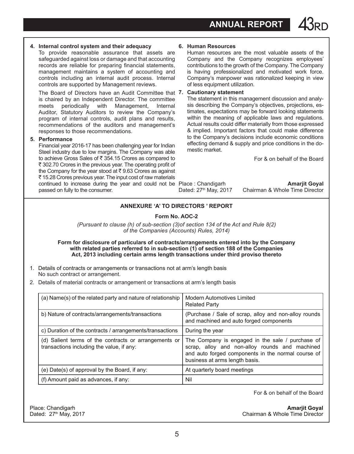**ANNUAL REPORT** 

#### **4. Internal control system and their adequacy**

To provide reasonable assurance that assets are safeguarded against loss or damage and that accounting records are reliable for preparing financial statements, management maintains a system of accounting and controls including an internal audit process. Internal controls are supported by Management reviews.

The Board of Directors have an Audit Committee that **7. Cautionary statement** is chaired by an Independent Director. The committee meets periodically with Management, Internal Auditor, Statutory Auditors to review the Company's program of internal controls, audit plans and results, recommendations of the auditors and management's responses to those recommendations.

#### **5. Performance**

Financial year 2016-17 has been challenging year for Indian Steel industry due to low margins. The Company was able to achieve Gross Sales of  $\bar{\tau}$  354.15 Crores as compared to ₹ 302.70 Crores in the previous year. The operating profit of the Company for the year stood at  $\bar{\tau}$  9.63 Crores as against ₹ 15.28 Crores previous year. The input cost of raw materials continued to increase during the year and could not be Place : Chandigarh **Amarjit Goyal** passed on fully to the consumer.

#### **6. Human Resources**

Human resources are the most valuable assets of the Company and the Company recognizes employees' contributions to the growth of the Company. The Company is having professionalized and motivated work force. Company's manpower was rationalized keeping in view of less equipment utilization.

The statement in this management discussion and analysis describing the Company's objectives, projections, estimates, expectations may be forward looking statements within the meaning of applicable laws and regulations. Actual results could differ materially from those expressed & implied. Important factors that could make difference to the Company's decisions include economic conditions effecting demand & supply and price conditions in the domestic market.

For & on behalf of the Board

Dated: 27<sup>th</sup> May, 2017 Chairman & Whole Time Director

#### **Annexure 'A' to Directors ' Report**

#### **Form No. AOC-2**

*(Pursuant to clause (h) of sub-section (3)of section 134 of the Act and Rule 8(2) of the Companies (Accounts) Rules, 2014)*

**Form for disclosure of particulars of contracts/arrangements entered into by the Company with related parties referred to in sub-section (1) of section 188 of the Companies Act, 2013 including certain arms length transactions under third proviso thereto**

- 1. Details of contracts or arrangements or transactions not at arm's length basis No such contract or arrangement.
- 2. Details of material contracts or arrangement or transactions at arm's length basis

| (a) Name(s) of the related party and nature of relationship                                        | Modern Automotives Limited<br><b>Related Party</b>                                                                                                                                         |
|----------------------------------------------------------------------------------------------------|--------------------------------------------------------------------------------------------------------------------------------------------------------------------------------------------|
| b) Nature of contracts/arrangements/transactions                                                   | (Purchase / Sale of scrap, alloy and non-alloy rounds)<br>and machined and auto forged components                                                                                          |
| c) Duration of the contracts / arrangements/transactions                                           | During the year                                                                                                                                                                            |
| (d) Salient terms of the contracts or arrangements or<br>transactions including the value, if any: | The Company is engaged in the sale / purchase of<br>scrap, alloy and non-alloy rounds and machined<br>and auto forged components in the normal course of<br>business at arms length basis. |
| (e) Date(s) of approval by the Board, if any:                                                      | At quarterly board meetings                                                                                                                                                                |
| (f) Amount paid as advances, if any:                                                               | Nil                                                                                                                                                                                        |

For & on behalf of the Board

Place: Chandigarh **Amarjit Goyal**<br>Dated: 27<sup>th</sup> May, 2017 **Amarjit Goyal**<br>Chairman & Whole Time Director Chairman & Whole Time Director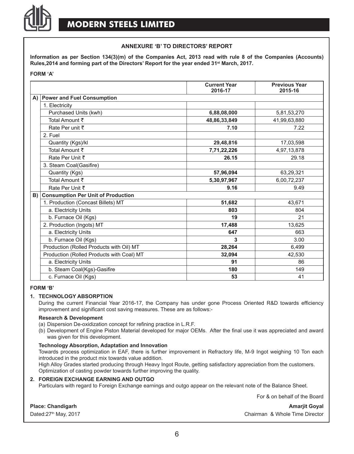

#### **Annexure 'B' to Directors' Report**

**Information as per Section 134(3)(m) of the Companies Act, 2013 read with rule 8 of the Companies (Accounts) Rules,2014 and forming part of the Directors' Report for the year ended 31st March, 2017.**

#### **FORM 'A'**

|                                              | <b>Current Year</b><br>2016-17 | <b>Previous Year</b><br>2015-16 |
|----------------------------------------------|--------------------------------|---------------------------------|
| A) Power and Fuel Consumption                |                                |                                 |
| 1. Electricity                               |                                |                                 |
| Purchased Units (kwh)                        | 6,88,08,000                    | 5,81,53,270                     |
| Total Amount ₹                               | 48,86,33,849                   | 41.99.63.880                    |
| Rate Per unit ₹                              | 7.10                           | 7.22                            |
| 2. Fuel                                      |                                |                                 |
| Quantity (Kgs)/kl                            | 29,48,816                      | 17,03,598                       |
| Total Amount ₹                               | 7,71,22,226                    | 4,97,13,878                     |
| Rate Per Unit ₹                              | 26.15                          | 29.18                           |
| 3. Steam Coal(Gasifire)                      |                                |                                 |
| Quantity (Kgs)                               | 57,96,094                      | 63,29,321                       |
| Total Amount ₹                               | 5,30,97,967                    | 6,00,72,237                     |
| Rate Per Unit ₹                              | 9.16                           | 9.49                            |
| <b>B) Consumption Per Unit of Production</b> |                                |                                 |
| 1. Production (Concast Billets) MT           | 51,682                         | 43,671                          |
| a. Electricity Units                         | 803                            | 804                             |
| b. Furnace Oil (Kgs)                         | 19                             | 21                              |
| 2. Production (Ingots) MT                    | 17,488                         | 13,625                          |
| a. Electricity Units                         | 647                            | 663                             |
| b. Furnace Oil (Kgs)                         | 3                              | 3.00                            |
| Production (Rolled Products with Oil) MT     | 28,264                         | 6,499                           |
| Production (Rolled Products with Coal) MT    | 32,094                         | 42,530                          |
| a. Electricity Units                         | 91                             | 86                              |
| b. Steam Coal(Kgs)-Gasifire                  | 180                            | 149                             |
| c. Furnace Oil (Kgs)                         | 53                             | 41                              |

#### **FORM 'B'**

#### **1. TECHNOLOGY ABSORPTION**

During the current Financial Year 2016-17, the Company has under gone Process Oriented R&D towards efficiency improvement and significant cost saving measures. These are as follows:-

#### **Research & Development**

- (a) Dispersion De-oxidization concept for refining practice in L.R.F.
- (b) Development of Engine Piston Material developed for major OEMs. After the final use it was appreciated and award was given for this development.

#### **Technology Absorption, Adaptation and Innovation**

Towards process optimization in EAF, there is further improvement in Refractory life, M-9 Ingot weighing 10 Ton each introduced in the product mix towards value addition.

High Alloy Grades started producing through Heavy Ingot Route, getting satisfactory appreciation from the customers. Optimization of casting powder towards further improving the quality.

#### **2. FOREIGN EXCHANGE EARNING AND OUTGO**

Particulars with regard to Foreign Exchange earnings and outgo appear on the relevant note of the Balance Sheet.

For & on behalf of the Board

#### **Place: Chandigarh Amarjit Goyal** Amarjit Goyal Amarjit Goyal

Dated:27<sup>th</sup> May, 2017 **Chairman & Whole Time Director**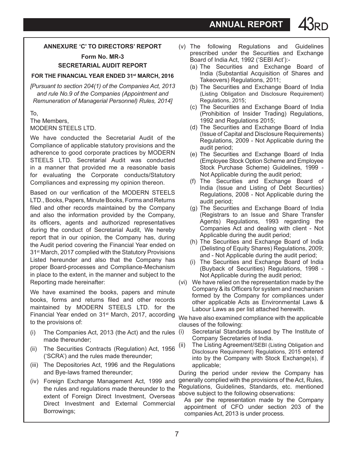**ANNUAL REPORT** 

#### **Annexure 'c' to Directors' Report**

**Form No. MR-3 SECRETARIAL AUDIT REPORT**

#### **FOR THE FINANCIAL YEAR ENDED 31st MARCH, 2016**

*[Pursuant to section 204(1) of the Companies Act, 2013 and rule No.9 of the Companies (Appointment and Remuneration of Managerial Personnel) Rules, 2014]*

#### To, The Members, MODERN STEELS LTD.

We have conducted the Secretarial Audit of the Compliance of applicable statutory provisions and the adherence to good corporate practices by MODERN STEELS LTD. Secretarial Audit was conducted in a manner that provided me a reasonable basis for evaluating the Corporate conducts/Statutory Compliances and expressing my opinion thereon.

Based on our verification of the MODERN STEELS LTD., Books, Papers, Minute Books, Forms and Returns filed and other records maintained by the Company and also the information provided by the Company, its officers, agents and authorized representatives during the conduct of Secretarial Audit, We hereby report that in our opinion, the Company has, during the Audit period covering the Financial Year ended on 31st March, 2017 complied with the Statutory Provisions Listed hereunder and also that the Company has proper Board-processes and Compliance-Mechanism in place to the extent, in the manner and subject to the Reporting made hereinafter:

We have examined the books, papers and minute books, forms and returns filed and other records maintained by MODERN STEELS LTD. for the Financial Year ended on 31<sup>st</sup> March, 2017, according to the provisions of:

- (i) The Companies Act, 2013 (the Act) and the rules made thereunder;
- (ii) The Securities Contracts (Regulation) Act, 1956 ('SCRA') and the rules made thereunder;
- (iii) The Depositories Act, 1996 and the Regulations and Bye-laws framed thereunder;
- (iv) Foreign Exchange Management Act, 1999 and the rules and regulations made thereunder to the extent of Foreign Direct Investment, Overseas Direct Investment and External Commercial Borrowings;
- (v) The following Regulations and Guidelines prescribed under the Securities and Exchange Board of India Act, 1992 ('SEBI Act'):-
	- (a) The Securities and Exchange Board of India (Substantial Acquisition of Shares and Takeovers) Regulations, 2011;
	- (b) The Securities and Exchange Board of India (Listing Obligation and Disclosure Requirement) Regulations, 2015;
	- (c) The Securities and Exchange Board of India (Prohibition of Insider Trading) Regulations, 1992 and Regulations 2015;
	- (d) The Securities and Exchange Board of India (Issue of Capital and Disclosure Requirements) Regulations, 2009 - Not Applicable during the audit period;
	- (e) The Securities and Exchange Board of India (Employee Stock Option Scheme and Employee Stock Purchase Scheme) Guidelines, 1999 Not Applicable during the audit period;
	- (f) The Securities and Exchange Board of India (Issue and Listing of Debt Securities) Regulations, 2008 - Not Applicable during the audit period;
	- (g) The Securities and Exchange Board of India (Registrars to an Issue and Share Transfer Agents) Regulations, 1993 regarding the Companies Act and dealing with client - Not Applicable during the audit period;
	- (h) The Securities and Exchange Board of India (Delisting of Equity Shares) Regulations, 2009; and - Not Applicable during the audit period;
	- (i) The Securities and Exchange Board of India (Buyback of Securities) Regulations, 1998 - Not Applicable during the audit period;
- (vi) We have relied on the representation made by the Company & its Officers for system and mechanism formed by the Company for compliances under other applicable Acts as Environmental Laws & Labour Laws as per list attached herewith.

We have also examined compliance with the applicable clauses of the following:

- Secretarial Standards issued by The Institute of Company Secretaries of India.
- The Listing Agreement/SEBI (Listing Obligation and Disclosure Requirement) Regulations, 2015 entered into by the Company with Stock Exchange(s), if applicable;

During the period under review the Company has generally complied with the provisions of the Act, Rules, Regulations, Guidelines, Standards, etc. mentioned above subject to the following observations:

 As per the representation made by the Company appointment of CFO under section 203 of the companies Act, 2013 is under process.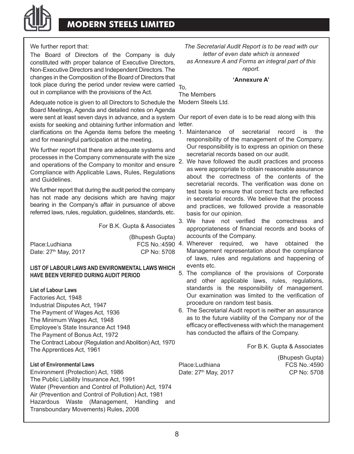## **MODERN STEELS LIMITED**

We further report that:

The Board of Directors of the Company is duly constituted with proper balance of Executive Directors, Non-Executive Directors and Independent Directors. The changes in the Composition of the Board of Directors that took place during the period under review were carried <sub>To,</sub> out in compliance with the provisions of the Act.

Adequate notice is given to all Directors to Schedule the Modern Steels Ltd. Board Meetings, Agenda and detailed notes on Agenda were sent at least seven days in advance, and a system Our report of even date is to be read along with this exists for seeking and obtaining further information and letter. clarifications on the Agenda items before the meeting 1. Maintenance of secretarial record is the and for meaningful participation at the meeting.

We further report that there are adequate systems and processes in the Company commensurate with the size and operations of the Company to monitor and ensure Compliance with Applicable Laws, Rules, Regulations and Guidelines.

We further report that during the audit period the company has not made any decisions which are having major bearing in the Company's affair in pursuance of above referred laws, rules, regulation, guidelines, standards, etc.

For B.K. Gupta & Associates

|                                  | (Bhupesh Gupta) |
|----------------------------------|-----------------|
| Place:Ludhiana                   | FCS No.:4590 4  |
| Date: 27 <sup>th</sup> May, 2017 | CP No: 5708     |

#### **LIST OF LABOUR LAWS AND ENVIRONMENTAL LAWS WHICH HAVE BEEN VERIFIED DURING AUDIT PERIOD**

**List of Labour Laws**

Factories Act, 1948 Industrial Disputes Act, 1947 The Payment of Wages Act, 1936 The Minimum Wages Act, 1948 Employee's State Insurance Act 1948 The Payment of Bonus Act, 1972 The Contract Labour (Regulation and Abolition) Act, 1970 The Apprentices Act, 1961

### **List of Environmental Laws**

Environment (Protection) Act, 1986 The Public Liability Insurance Act, 1991 Water (Prevention and Control of Pollution) Act, 1974 Air (Prevention and Control of Pollution) Act, 1981 Hazardous Waste (Management, Handling and Transboundary Movements) Rules, 2008

*The Secretarial Audit Report is to be read with our letter of even date which is annexed as Annexure A and Forms an integral part of this report.*

#### **'Annexure A'**

The Members

- responsibility of the management of the Company. Our responsibility is to express an opinion on these secretarial records based on our audit.
- 2. We have followed the audit practices and process as were appropriate to obtain reasonable assurance about the correctness of the contents of the secretarial records. The verification was done on test basis to ensure that correct facts are reflected in secretarial records. We believe that the process and practices, we followed provide a reasonable basis for our opinion.
- 3. We have not verified the correctness and appropriateness of financial records and books of accounts of the Company.
- 4. Wherever required, we have obtained the Management representation about the compliance of laws, rules and regulations and happening of events etc.
- 5. The compliance of the provisions of Corporate and other applicable laws, rules, regulations, standards is the responsibility of management. Our examination was limited to the verification of procedure on random test basis.
- 6. The Secretarial Audit report is neither an assurance as to the future viability of the Company nor of the efficacy or effectiveness with which the management has conducted the affairs of the Company.

For B.K. Gupta & Associates

Place:Ludhiana Date: 27<sup>th</sup> May, 2017 CP No: 5708

(Bhupesh Gupta)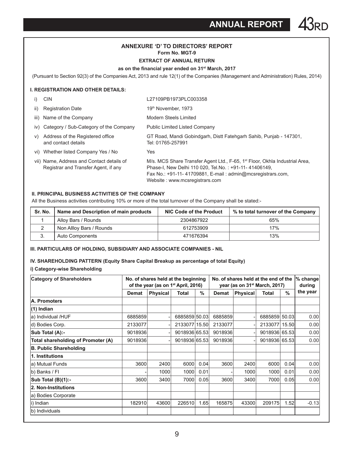**ANNUAL REPORT** 43RD

#### **Annexure 'd' to Directors' Report Form No. MGT-9**

#### **EXTRACT OF ANNUAL RETURN**

#### **as on the financial year ended on 31st March, 2017**

(Pursuant to section 92(3) of the Companies Act, 2013 and rule 12(1) of the Companies (Management and Administration) Rules, 2014)

#### **I. REGISTRATION AND OTHER DETAILS:**

| i)  | <b>CIN</b>                                                                        | L27109PB1973PLC003358                                                                                                                                                                                                                            |
|-----|-----------------------------------------------------------------------------------|--------------------------------------------------------------------------------------------------------------------------------------------------------------------------------------------------------------------------------------------------|
| ii) | <b>Registration Date</b>                                                          | 19th November, 1973                                                                                                                                                                                                                              |
|     | iii) Name of the Company                                                          | Modern Steels Limited                                                                                                                                                                                                                            |
|     | iv) Category / Sub-Category of the Company                                        | <b>Public Limited Listed Company</b>                                                                                                                                                                                                             |
| V)  | Address of the Registered office<br>and contact details                           | GT Road, Mandi Gobindgarh, Distt Fatehgarh Sahib, Punjab - 147301,<br>Tel: 01765-257991                                                                                                                                                          |
|     | vi) Whether listed Company Yes / No                                               | Yes                                                                                                                                                                                                                                              |
|     | vii) Name, Address and Contact details of<br>Registrar and Transfer Agent, if any | M/s. MCS Share Transfer Agent Ltd., F-65, 1 <sup>st</sup> Floor, Okhla Industrial Area,<br>Phase-I, New Delhi 110 020, Tel.No.: +91-11-41406149,<br>Fax No.: +91-11-41709881, E-mail: admin@mcsregistrars.com,<br>Website: www.mcsregistrars.com |

#### **II. PRINCIPAL BUSINESS ACTIVITIES OF THE COMPANY**

All the Business activities contributing 10% or more of the total turnover of the Company shall be stated:-

| Sr. No. | Name and Description of main products | NIC Code of the Product | % to total turnover of the Company |
|---------|---------------------------------------|-------------------------|------------------------------------|
|         | Alloy Bars / Rounds                   | 2304867922              | 65%                                |
|         | Non Allloy Bars / Rounds              | 612753909               | 17%                                |
|         | Auto Components                       | 471676394               | 13%                                |

#### **III. PARTICULARS OF HOLDING, SUBSIDIARY AND ASSOCIATE COMPANIES - NIL**

#### **IV. SHAREHOLDING PATTERN (Equity Share Capital Breakup as percentage of total Equity)**

#### **i) Category-wise Shareholding**

| <b>Category of Shareholders</b>    | No. of shares held at the beginning<br>of the year (as on 1 <sup>st</sup> April, 2016) |                 |               | No. of shares held at the end of the<br>year (as on 31 <sup>st</sup> March, 2017) |         |                 |               | $%$ change<br>during |          |
|------------------------------------|----------------------------------------------------------------------------------------|-----------------|---------------|-----------------------------------------------------------------------------------|---------|-----------------|---------------|----------------------|----------|
|                                    | <b>Demat</b>                                                                           | <b>Physical</b> | <b>Total</b>  | $\%$                                                                              | Demat   | <b>Physical</b> | Total         | %                    | the year |
| A. Promoters                       |                                                                                        |                 |               |                                                                                   |         |                 |               |                      |          |
| (1) Indian                         |                                                                                        |                 |               |                                                                                   |         |                 |               |                      |          |
| a) Individual /HUF                 | 6885859                                                                                |                 | 6885859 50.03 |                                                                                   | 6885859 |                 | 6885859 50.03 |                      | 0.00     |
| d) Bodies Corp.                    | 2133077                                                                                |                 | 2133077 15.50 |                                                                                   | 2133077 |                 | 2133077 15.50 |                      | 0.00     |
| Sub Total (A):-                    | 9018936                                                                                |                 | 9018936 65.53 |                                                                                   | 9018936 |                 | 9018936 65.53 |                      | 0.00     |
| Total shareholding of Promoter (A) | 9018936                                                                                |                 | 9018936 65.53 |                                                                                   | 9018936 |                 | 9018936 65.53 |                      | 0.00     |
| B. Public Shareholding             |                                                                                        |                 |               |                                                                                   |         |                 |               |                      |          |
| 1. Institutions                    |                                                                                        |                 |               |                                                                                   |         |                 |               |                      |          |
| a) Mutual Funds                    | 3600                                                                                   | 2400            | 6000          | 0.04                                                                              | 3600    | 2400            | 6000          | 0.04                 | 0.00     |
| b) Banks / Fl                      |                                                                                        | 1000            | 1000          | 0.01                                                                              |         | 1000            | <b>1000</b>   | 0.01                 | 0.00     |
| Sub Total (B)(1):-                 | 3600                                                                                   | 3400            | 7000          | 0.05                                                                              | 3600    | 3400            | 7000          | 0.05                 | 0.00     |
| 2. Non-Institutions                |                                                                                        |                 |               |                                                                                   |         |                 |               |                      |          |
| a) Bodies Corporate                |                                                                                        |                 |               |                                                                                   |         |                 |               |                      |          |
| Indian                             | 182910                                                                                 | 43600           | 226510        | 1.65                                                                              | 165875  | 43300           | 209175        | 1.52                 | $-0.13$  |
| b) Individuals                     |                                                                                        |                 |               |                                                                                   |         |                 |               |                      |          |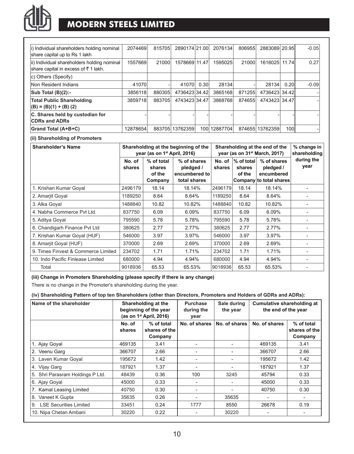

## **MODERN STEELS LIMITED**

| i) Individual shareholders holding nominal<br>share capital up to Rs 1 lakh        | 2074469  | 815705 | 2890174 21.00 |                  | 2076134  | 806955 | 2883089 20.95 |       | $-0.05$ |
|------------------------------------------------------------------------------------|----------|--------|---------------|------------------|----------|--------|---------------|-------|---------|
| ii) Individual shareholders holding nominal<br>share capital in excess of ₹1 lakh. | 1557669  | 21000  | 1578669 11.47 |                  | 1595025  | 21000  | 1616025       | 11.74 | 0.27    |
| c) Others (Specify)                                                                |          |        |               |                  |          |        |               |       |         |
| Non Resident Indians                                                               | 41070    |        | 41070         | 0.30             | 28134    |        | 28134         | 0.20  | $-0.09$ |
| Sub Total (B)(2):-                                                                 | 3856118  | 880305 | 4736423 34.42 |                  | 3865168  | 871255 | 4736423 34.42 |       |         |
| <b>Total Public Shareholding</b><br>$(B) = (B)(1) + (B)(2)$                        | 3859718  | 883705 | 4743423 34.47 |                  | 3868768  | 874655 | 4743423 34.47 |       |         |
| C. Shares held by custodian for<br><b>CDRs and ADRs</b>                            |          |        |               |                  |          |        |               |       |         |
| Grand Total (A+B+C)                                                                | 12878654 | 883705 | 13762359      | 100 <sup>1</sup> | 12887704 | 874655 | 13762359      | 100l  |         |

#### **(ii) Shareholding of Promoters**

| <b>Shareholder's Name</b>           |                  | year (as on 1 <sup>st</sup> April, 2016)  | Shareholding at the beginning of the                      | Shareholding at the end of the<br>year (as on 31 <sup>st</sup> March, 2017) | % change in<br>shareholding    |                                                                   |                    |
|-------------------------------------|------------------|-------------------------------------------|-----------------------------------------------------------|-----------------------------------------------------------------------------|--------------------------------|-------------------------------------------------------------------|--------------------|
|                                     | No. of<br>shares | % of total<br>shares<br>of the<br>Company | % of shares<br>pledged /<br>encumbered to<br>total shares | No. of<br>shares                                                            | % of total<br>shares<br>of the | % of shares<br>pledged /<br>encumbered<br>Company to total shares | during the<br>year |
| 1. Krishan Kumar Goyal              | 2496179          | 18.14                                     | 18.14%                                                    | 2496179                                                                     | 18.14                          | 18.14%                                                            |                    |
| 2. Amarjit Goyal                    | 1189250          | 8.64                                      | 8.64%                                                     | 1189250                                                                     | 8.64                           | 8.64%                                                             |                    |
| 3. Alka Goyal                       | 1488840          | 10.82                                     | 10.82%                                                    | 1488840                                                                     | 10.82                          | 10.82%                                                            |                    |
| 4. Nabha Commerce Pvt Ltd.          | 837750           | 6.09                                      | 6.09%                                                     | 837750                                                                      | 6.09                           | 6.09%                                                             |                    |
| 5. Aditya Goyal                     | 795590           | 5.78                                      | 5.78%                                                     | 795590                                                                      | 5.78                           | 5.78%                                                             |                    |
| 6. Chandigarh Finance Pvt Ltd       | 380625           | 2.77                                      | 2.77%                                                     | 380625                                                                      | 2.77                           | 2.77%                                                             |                    |
| 7. Krishan Kumar Goyal (HUF)        | 546000           | 3.97                                      | 3.97%                                                     | 546000                                                                      | 3.97                           | 3.97%                                                             | ۰                  |
| 8. Amarjit Goyal (HUF)              | 370000           | 2.69                                      | 2.69%                                                     | 370000                                                                      | 2.69                           | 2.69%                                                             |                    |
| 9. Times Finvest & Commerce Limited | 234702           | 1.71                                      | 1.71%                                                     | 234702                                                                      | 1.71                           | 1.71%                                                             |                    |
| 10. Indo Pacific Finlease Limited   | 680000           | 4.94                                      | 4.94%                                                     | 680000                                                                      | 4.94                           | 4.94%                                                             |                    |
| Total                               | 9018936          | 65.53                                     | 65.53%                                                    | 9018936                                                                     | 65.53                          | 65.53%                                                            |                    |

#### **(iii) Change in Promoters Shareholding (please specify if there is any change)**

There is no change in the Promoter's shareholding during the year.

#### **(iv) Shareholding Pattern of top ten Shareholders (other than Directors, Promoters and Holders of GDRs and ADRs):**

| Name of the shareholder             | Shareholding at the<br>beginning of the year<br>(as on $1st$ April, 2016) |      | Purchase<br>during the<br>year | Sale during<br>the year | Cumulative shareholding at<br>the end of the year |                                        |
|-------------------------------------|---------------------------------------------------------------------------|------|--------------------------------|-------------------------|---------------------------------------------------|----------------------------------------|
|                                     | % of total<br>No. of<br>shares of the<br>shares<br>Company                |      | No. of shares                  | No. of shares           | No. of shares                                     | % of total<br>shares of the<br>Company |
| 1. Ajay Goyal                       | 469135                                                                    | 3.41 |                                |                         | 469135                                            | 3.41                                   |
| 2. Veenu Garg                       | 366707                                                                    | 2.66 |                                |                         | 366707                                            | 2.66                                   |
| 3. Laven Kumar Goyal                | 195672                                                                    | 1.42 | $\overline{\phantom{a}}$       |                         | 195672                                            | 1.42                                   |
| 4. Vijay Garg                       | 187921                                                                    | 1.37 |                                |                         | 187921                                            | 1.37                                   |
| 5. Shri Parasram Holdings P Ltd.    | 48439                                                                     | 0.36 | 100                            | 3245                    | 45794                                             | 0.33                                   |
| 6. Ajay Goyal                       | 45000                                                                     | 0.33 |                                |                         | 45000                                             | 0.33                                   |
| 7. Kamal Leasing Limited            | 40750                                                                     | 0.30 |                                |                         | 40750                                             | 0.30                                   |
| 8. Vaneet K Gupta                   | 35635                                                                     | 0.26 | $\overline{\phantom{a}}$       | 35635                   |                                                   | ۰                                      |
| <b>LSE Securities Limited</b><br>9. | 33451                                                                     | 0.24 | 1777                           | 8550                    | 26678                                             | 0.19                                   |
| 10. Nipa Chetan Ambani              | 30220                                                                     | 0.22 |                                | 30220                   |                                                   |                                        |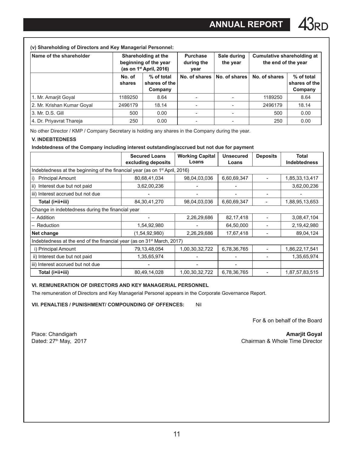| Name of the shareholder    | Shareholding at the<br>beginning of the year<br>(as on $1st$ April, 2016) |                                        | <b>Purchase</b><br>during the<br>year | Sale during<br>the year | Cumulative shareholding at<br>the end of the year |                                        |
|----------------------------|---------------------------------------------------------------------------|----------------------------------------|---------------------------------------|-------------------------|---------------------------------------------------|----------------------------------------|
|                            | No. of<br>shares                                                          | % of total<br>shares of the<br>Company | No. of shares                         | No. of shares           | No. of shares                                     | % of total<br>shares of the<br>Company |
| 1. Mr. Amarjit Goyal       | 1189250                                                                   | 8.64                                   |                                       |                         | 1189250                                           | 8.64                                   |
| 2. Mr. Krishan Kumar Goyal | 2496179                                                                   | 18.14                                  |                                       |                         | 2496179                                           | 18.14                                  |
| 3. Mr. D.S. Gill           | 500                                                                       | 0.00                                   |                                       |                         | 500                                               | 0.00                                   |
| 4. Dr. Priyavrat Thareja   | 250                                                                       | 0.00                                   | $\overline{\phantom{a}}$              |                         | 250                                               | 0.00                                   |

No other Director / KMP / Company Secretary is holding any shares in the Company during the year.

#### **V. INDEBTEDNESS**

**Indebtedness of the Company including interest outstanding/accrued but not due for payment** 

|                                                                                         | <b>Secured Loans</b><br>excluding deposits | <b>Working Capital</b><br>Loans | Unsecured<br>Loans | <b>Deposits</b> | Total<br>Indebtedness |  |  |  |  |
|-----------------------------------------------------------------------------------------|--------------------------------------------|---------------------------------|--------------------|-----------------|-----------------------|--|--|--|--|
| Indebtedness at the beginning of the financial year (as on 1 <sup>st</sup> April, 2016) |                                            |                                 |                    |                 |                       |  |  |  |  |
| <b>Principal Amount</b><br>i)                                                           | 80,68,41,034                               | 98,04,03,036                    | 6,60,69,347        |                 | 1,85,33,13,417        |  |  |  |  |
| ii) Interest due but not paid                                                           | 3,62,00,236                                |                                 | -                  |                 | 3,62,00,236           |  |  |  |  |
| iii) Interest accrued but not due                                                       |                                            |                                 |                    |                 |                       |  |  |  |  |
| Total (i+ii+iii)                                                                        | 84, 30, 41, 270                            | 98,04,03,036                    | 6,60,69,347        |                 | 1,88,95,13,653        |  |  |  |  |
| Change in indebtedness during the financial year                                        |                                            |                                 |                    |                 |                       |  |  |  |  |
| - Addition                                                                              |                                            | 2,26,29,686                     | 82, 17, 418        |                 | 3,08,47,104           |  |  |  |  |
| - Reduction                                                                             | 1,54,92,980                                |                                 | 64,50,000          |                 | 2,19,42,980           |  |  |  |  |
| Net change                                                                              | (1,54,92,980)                              | 2,26,29,686                     | 17,67,418          |                 | 89,04,124             |  |  |  |  |
| Indebtedness at the end of the financial year (as on 31 <sup>st</sup> March, 2017)      |                                            |                                 |                    |                 |                       |  |  |  |  |
| i) Principal Amount                                                                     | 79,13,48,054                               | 1,00,30,32,722                  | 6,78,36,765        |                 | 1,86,22,17,541        |  |  |  |  |
| ii) Interest due but not paid                                                           | 1,35,65,974                                |                                 |                    |                 | 1,35,65,974           |  |  |  |  |
| iii) Interest accrued but not due                                                       |                                            |                                 |                    |                 |                       |  |  |  |  |
| Total (i+ii+iii)                                                                        | 80,49,14,028                               | 1,00,30,32,722                  | 6,78,36,765        |                 | 1,87,57,83,515        |  |  |  |  |

#### **VI. REMUNERATION OF DIRECTORS AND KEY MANAGERIAL PERSONNEL**

The remuneration of Directors and Key Managerial Personel appears in the Corporate Governance Report.

**VII. PENALTIES / PUNISHMENT/ COMPOUNDING OF OFFENCES:** Nil

For & on behalf of the Board

Place: Chandigarh **Amarjit Goyal**<br>Dated: 27<sup>th</sup> May, 2017 **Amarjit Goyal Amarjit Goyal** Chairman & Whole Time Director Chairman & Whole Time Director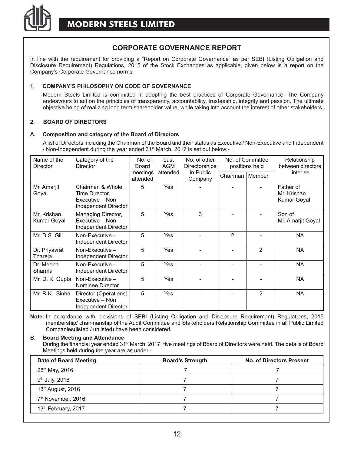

### **CORPORATE GOVERNANCE REPORT**

In line with the requirement for providing a "Report on Corporate Governance" as per SEBI (Listing Obligation and Disclosure Requirement) Regulations, 2015 of the Stock Exchanges as applicable, given below is a report on the Company's Corporate Governance norms.

#### **1. COMPANY'S PHILOSOPHY ON CODE OF GOVERNANCE**

Modern Steels Limited is committed in adopting the best practices of Corporate Governance. The Company endeavours to act on the principles of transparency, accountability, trusteeship, integrity and passion. The ultimate objective being of realizing long term shareholder value, while taking into account the interest of other stakeholders.

#### **2. BOARD OF DIRECTORS**

#### **A. Composition and category of the Board of Directors**

A list of Directors including the Chairman of the Board and their status as Executive / Non-Executive and Independent / Non-Independent during the year ended 31st March, 2017 is set out below:-

| Name of the<br>Director    | Category of the<br>Director                                                   | No. of<br>Board      | Last<br><b>AGM</b> | No. of other<br><b>Directorships</b> |                   | No. of Committee<br>positions held | Relationship<br>between directors       |  |
|----------------------------|-------------------------------------------------------------------------------|----------------------|--------------------|--------------------------------------|-------------------|------------------------------------|-----------------------------------------|--|
|                            |                                                                               | meetings<br>attended | attended           | in Public<br>Company                 | Chairman   Member |                                    | inter se                                |  |
| Mr. Amarjit<br>Goyal       | Chairman & Whole<br>Time Director,<br>Executive - Non<br>Independent Director | 5                    | <b>Yes</b>         |                                      |                   |                                    | Father of<br>Mr. Krishan<br>Kumar Goyal |  |
| Mr. Krishan<br>Kumar Goyal | Managing Director,<br>Executive - Non<br>Independent Director                 | 5                    | Yes                | 3                                    |                   |                                    | Son of<br>Mr. Amarjit Goyal             |  |
| Mr. D.S. Gill              | Non-Executive $-$<br>Independent Director                                     | 5                    | Yes                |                                      | $\overline{2}$    |                                    | <b>NA</b>                               |  |
| Dr. Priyavrat<br>Thareja   | Non-Executive $-$<br>Independent Director                                     | 5                    | Yes                |                                      |                   | 2                                  | <b>NA</b>                               |  |
| Dr. Meena<br>Sharma        | Non-Executive $-$<br>Independent Director                                     | 5                    | Yes                |                                      |                   |                                    | <b>NA</b>                               |  |
| Mr. D. K. Gupta            | Non-Executive $-$<br>Nominee Director                                         | 5                    | Yes                |                                      |                   |                                    | <b>NA</b>                               |  |
| Mr. R.K. Sinha             | Director (Operations)<br>Executive - Non<br>Independent Director              | 5                    | Yes                |                                      |                   | $\overline{2}$                     | <b>NA</b>                               |  |

**Note:** In accordance with provisions of SEBI (Listing Obligation and Disclosure Requirement) Regulations, 2015 membership/ chairmanship of the Audit Committee and Stakeholders Relationship Committee in all Public Limited Companies(listed / unlisted) have been considered.

#### **B. Board Meeting and Attendance**

During the financial year ended 31st March, 2017, five meetings of Board of Directors were held. The details of Board Meetings held during the year are as under:-

| Date of Board Meeting           | <b>Board's Strength</b> | No. of Directors Present |
|---------------------------------|-------------------------|--------------------------|
| 28 <sup>th</sup> May, 2016      |                         |                          |
| $9th$ July, 2016                |                         |                          |
| 13 <sup>th</sup> August, 2016   |                         |                          |
| 7 <sup>th</sup> November, 2016  |                         |                          |
| 13 <sup>th</sup> February, 2017 |                         |                          |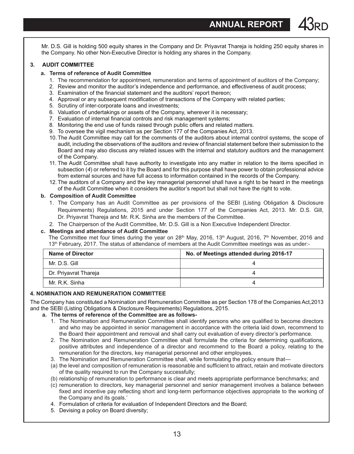**ANNUAL REPORT** 

Mr. D.S. Gill is holding 500 equity shares in the Company and Dr. Priyavrat Thareia is holding 250 equity shares in the Company. No other Non-Executive Director is holding any shares in the Company.

#### **3. AUDIT COMMITTEE**

- **a. Terms of reference of Audit Committee**
	- 1. The recommendation for appointment, remuneration and terms of appointment of auditors of the Company;
	- 2. Review and monitor the auditor's independence and performance, and effectiveness of audit process;
	- 3. Examination of the financial statement and the auditors' report thereon;
	- 4. Approval or any subsequent modification of transactions of the Company with related parties;
	- 5. Scrutiny of inter-corporate loans and investments;
	- 6. Valuation of undertakings or assets of the Company, wherever it is necessary;
	- 7. Evaluation of internal financial controls and risk management systems;
	- 8. Monitoring the end use of funds raised through public offers and related matters.
	- 9. To oversee the vigil mechanism as per Section 177 of the Companies Act, 2013.
	- 10.The Audit Committee may call for the comments of the auditors about internal control systems, the scope of audit, including the observations of the auditors and review of financial statement before their submission to the Board and may also discuss any related issues with the internal and statutory auditors and the management of the Company.
	- 11. The Audit Committee shall have authority to investigate into any matter in relation to the items specified in subsection (*4*) or referred to it by the Board and for this purpose shall have power to obtain professional advice from external sources and have full access to information contained in the records of the Company.
	- 12.The auditors of a Company and the key managerial personnel shall have a right to be heard in the meetings of the Audit Committee when it considers the auditor's report but shall not have the right to vote.

#### **b. Composition of Audit Committee**

- 1. The Company has an Audit Committee as per provisions of the SEBI (Listing Obligation & Disclosure Requirements) Regulations, 2015 and under Section 177 of the Companies Act, 2013. Mr. D.S. Gill, Dr. Priyavrat Thareja and Mr. R.K. Sinha are the members of the Committee.
- 2. The Chairperson of the Audit Committee, Mr. D.S. Gill is a Non Executive Independent Director.

#### **c. Meetings and attendance of Audit Committee**

The Committee met four times during the year on  $28<sup>th</sup>$  May, 2016, 13<sup>th</sup> August, 2016, 7<sup>th</sup> November, 2016 and 13<sup>th</sup> February, 2017. The status of attendance of members at the Audit Committee meetings was as under:-

| Name of Director      | No. of Meetings attended during 2016-17 |  |  |
|-----------------------|-----------------------------------------|--|--|
| Mr. D.S. Gill         |                                         |  |  |
| Dr. Priyavrat Thareja |                                         |  |  |
| Mr. R.K. Sinha        |                                         |  |  |

#### **4. NOMINATION AND REMUNERATION COMMITTEE**

The Company has constituted a Nomination and Remuneration Committee as per Section 178 of the Companies Act,2013 and the SEBI (Listing Obligations & Disclosure Requirements) Regulations, 2015.

#### **a. The terms of reference of the Committee are as follows-**

- 1. The Nomination and Remuneration Committee shall identify persons who are qualified to become directors and who may be appointed in senior management in accordance with the criteria laid down, recommend to the Board their appointment and removal and shall carry out evaluation of every director's performance.
- 2. The Nomination and Remuneration Committee shall formulate the criteria for determining qualifications, positive attributes and independence of a director and recommend to the Board a policy, relating to the remuneration for the directors, key managerial personnel and other employees.
- 3. The Nomination and Remuneration Committee shall, while formulating the policy ensure that—
- (a) the level and composition of remuneration is reasonable and sufficient to attract, retain and motivate directors of the quality required to run the Company successfully;
- (b) relationship of remuneration to performance is clear and meets appropriate performance benchmarks; and
- (c) remuneration to directors, key managerial personnel and senior management involves a balance between fixed and incentive pay reflecting short and long-term performance objectives appropriate to the working of the Company and its goals.'
- 4. Formulation of criteria for evaluation of Independent Directors and the Board;
- 5. Devising a policy on Board diversity;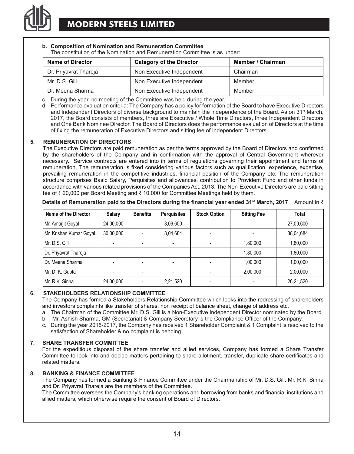

#### **b. Composition of Nomination and Remuneration Committee** The constitution of the Nomination and Remuneration Committee is as under:

| <b>Name of Director</b> | Category of the Director  | Member / Chairman |
|-------------------------|---------------------------|-------------------|
| Dr. Priyavrat Thareja   | Non Executive Independent | Chairman          |
| Mr. D.S. Gill           | Non Executive Independent | Member            |
| Dr. Meena Sharma        | Non Executive Independent | Member            |

c. During the year, no meeting of the Committee was held during the year.

d. Performance evaluation criteria: The Company has a policy for formation of the Board to have Executive Directors and Independent Directors of diverse background to maintain the independence of the Board. As on 31<sup>st</sup> March, 2017, the Board consists of members, three are Executive / Whole Time Directors, three Independent Directors and One Bank Nominee Director. The Board of Directors does the performance evaluation of Directors at the time of fixing the remuneration of Executive Directors and sitting fee of Independent Directors.

#### **5. REMUNERATION OF DIRECTORS**

The Executive Directors are paid remuneration as per the terms approved by the Board of Directors and confirmed by the shareholders of the Company and in confirmation with the approval of Central Government wherever necessary. Service contracts are entered into in terms of regulations governing their appointment and terms of remuneration. The remuneration is fixed considering various factors such as qualification, experience, expertise, prevailing remuneration in the competitive industries, financial position of the Company etc. The remuneration structure comprises Basic Salary, Perquisites and allowances, contribution to Provident Fund and other funds in accordance with various related provisions of the Companies Act, 2013. The Non-Executive Directors are paid sitting fee of  $\bar{\tau}$  20,000 per Board Meeting and  $\bar{\tau}$  10,000 for Committee Meetings held by them.

| Details of Remuneration paid to the Directors during the financial year ended 31st March, 2017 $\,$ Amount in $\bar{\tilde{}}$ |  |
|--------------------------------------------------------------------------------------------------------------------------------|--|
|--------------------------------------------------------------------------------------------------------------------------------|--|

| Name of the Director    | Salary    | <b>Benefits</b>          | <b>Perquisites</b> | <b>Stock Option</b>          | <b>Sitting Fee</b> | Total     |
|-------------------------|-----------|--------------------------|--------------------|------------------------------|--------------------|-----------|
| Mr. Amarjit Goyal       | 24,00,000 | $\overline{\phantom{a}}$ | 3,09,600           | ٠                            |                    | 27,09,600 |
| Mr. Krishan Kumar Goyal | 30,00,000 | $\overline{\phantom{a}}$ | 8.04.684           | ۰                            |                    | 38,04,684 |
| Mr. D.S. Gill           |           | $\overline{\phantom{a}}$ |                    | ٠                            | 1,80,000           | 1,80,000  |
| Dr. Priyavrat Thareja   |           | $\overline{\phantom{a}}$ | ٠                  |                              | 1,80,000           | 1,80,000  |
| l Dr. Meena Sharma      |           | ٠                        |                    | $\qquad \qquad \blacksquare$ | 1,00,000           | 1,00,000  |
| Mr. D. K. Gupta         |           |                          |                    |                              | 2,00,000           | 2,00,000  |
| Mr. R.K. Sinha          | 24,00,000 | $\overline{\phantom{a}}$ | 2,21,520           | ۰                            |                    | 26,21,520 |

#### **6. STAKEHOLDERS RELATIONSHIP COMMITTEE**

The Company has formed a Stakeholders Relationship Committee which looks into the redressing of shareholders and investors complaints like transfer of shares, non receipt of balance sheet, change of address etc.

- a. The Chairman of the Committee Mr. D.S. Gill is a Non-Executive Independent Director nominated by the Board.
- b. Mr. Ashish Sharma, GM (Secretarial) & Company Secretary is the Compliance Officer of the Company.
- c. During the year 2016-2017, the Company has received 1 Shareholder Complaint & 1 Complaint is resolved to the satisfaction of Shareholder & no complaint is pending.

#### **7. SHARE TRANSFER COMMITTEE**

For the expeditious disposal of the share transfer and allied services, Company has formed a Share Transfer Committee to look into and decide matters pertaining to share allotment, transfer, duplicate share certificates and related matters.

#### **8. BANKING & FINANCE COMMITTEE**

The Company has formed a Banking & Finance Committee under the Chairmanship of Mr. D.S. Gill. Mr. R.K. Sinha and Dr. Priyavrat Thareja are the members of the Committee.

The Committee oversees the Company's banking operations and borrowing from banks and financial institutions and allied matters, which otherwise require the consent of Board of Directors.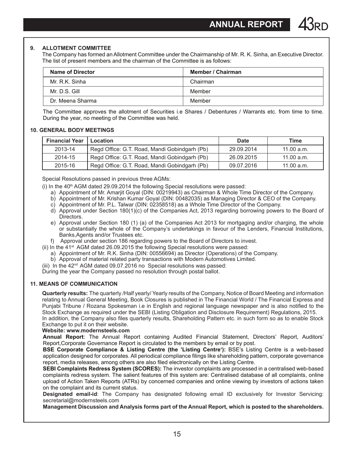#### **9. ALLOTMENT COMMITTEE**

The Company has formed an Allotment Committee under the Chairmanship of Mr. R. K. Sinha, an Executive Director. The list of present members and the chairman of the Committee is as follows:

| <b>Name of Director</b> | Member / Chairman |
|-------------------------|-------------------|
| Mr. R.K. Sinha          | Chairman          |
| Mr. D.S. Gill           | Member            |
| Dr. Meena Sharma        | Member            |

The Committee approves the allotment of Securities i.e Shares / Debentures / Warrants etc. from time to time. During the year, no meeting of the Committee was held.

#### **10. GENERAL BODY MEETINGS**

| <b>Financial Year</b> | Location                                      | Date       | Time       |
|-----------------------|-----------------------------------------------|------------|------------|
| 2013-14               | Regd Office: G.T. Road, Mandi Gobindgarh (Pb) | 29.09.2014 | 11.00 a.m. |
| 2014-15               | Regd Office: G.T. Road, Mandi Gobindgarh (Pb) | 26.09.2015 | 11.00 a.m. |
| 2015-16               | Regd Office: G.T. Road, Mandi Gobindgarh (Pb) | 09.07.2016 | 11.00 a.m. |

Special Resolutions passed in previous three AGMs:

(i) In the  $40<sup>th</sup>$  AGM dated 29.09.2014 the following Special resolutions were passed:

- a) Appointment of Mr. Amarjit Goyal (DIN: 00219943) as Chairman & Whole Time Director of the Company.
- b) Appointment of Mr. Krishan Kumar Goyal (DIN: 00482035) as Managing Director & CEO of the Company.
- c) Appointment of Mr. P.L. Talwar (DIN: 02358518) as a Whole Time Director of the Company.
- d) Approval under Section 180(1)(c) of the Companies Act, 2013 regarding borrowing powers to the Board of Directors.
- e) Approval under Section 180 (1) (a) of the Companies Act 2013 for mortgaging and/or charging, the whole or substantially the whole of the Company's undertakings in favour of the Lenders, Financial Institutions, Banks,Agents and/or Trustees etc.
- f) Approval under section 186 regarding powers to the Board of Directors to invest.
- (ii) In the  $41^{st}$  AGM dated 26.09.2015 the following Special resolutions were passed:
	- a) Appointment of Mr. R.K. Sinha (DIN: 00556694) as Director (Operations) of the Company.
	- b) Approval of material related party transactions with Modern Automotives Limited.
- (iii) In the 42nd AGM dated 09.07.2016 no Special resolutions was passed:

During the year the Company passed no resolution through postal ballot.

#### **11. MEANS OF COMMUNICATION**

**Quarterly results:** The quarterly /Half yearly/ Yearly results of the Company, Notice of Board Meeting and information relating to Annual General Meeting, Book Closures is published in The Financial World / The Financial Express and Punjabi Tribune / Rozana Spokesman i.e in English and regional language newspaper and is also notified to the Stock Exchange as required under the SEBI (Listing Obligation and Disclosure Requirement) Regulations, 2015. In addition, the Company also files quarterly results, Shareholding Pattern etc. in such form so as to enable Stock Exchange to put it on their website.

**Website: www.modernsteels.com**

**Annual Report**: The Annual Report containing Audited Financial Statement, Directors' Report, Auditors' Report,Corporate Governance Report is circulated to the members by email or by post.

**BSE Corporate Compliance & Listing Centre (the 'Listing Centre'):** BSE's Listing Centre is a web-based application designed for corporates. All periodical compliance filings like shareholding pattern, corporate governance report, media releases, among others are also filed electronically on the Listing Centre.

**SEBI Complaints Redress System (SCORES):** The investor complaints are processed in a centralised web-based complaints redress system. The salient features of this system are: Centralised database of all complaints, online upload of Action Taken Reports (ATRs) by concerned companies and online viewing by investors of actions taken on the complaint and its current status.

**Designated email-id**: The Company has designated following email ID exclusively for Investor Servicing: secretarial@modernsteels.com

**Management Discussion and Analysis forms part of the Annual Report, which is posted to the shareholders.**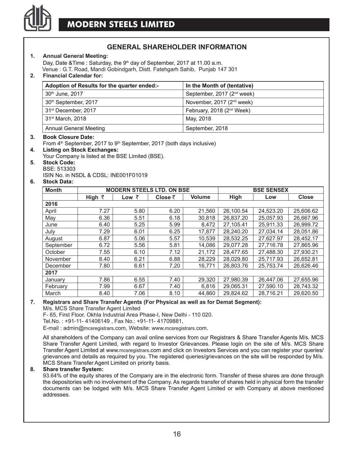

### **GENERAL SHAREHOLDER INFORMATION**

#### **1. Annual General Meeting:**

Day, Date & Time : Saturday, the 9<sup>th</sup> day of September, 2017 at 11.00 a.m. Venue : G.T. Road, Mandi Gobindgarh, Distt. Fatehgarh Sahib, Punjab 147 301

#### **2. Financial Calendar for:**

| Adoption of Results for the quarter ended:- | In the Month of (tentative)            |
|---------------------------------------------|----------------------------------------|
| 30th June, 2017                             | September, 2017 (2 <sup>nd</sup> week) |
| 30 <sup>th</sup> September, 2017            | November, 2017 (2 <sup>nd</sup> week)  |
| 31 <sup>st</sup> December, 2017             | February, 2018 (2 <sup>nd</sup> Week)  |
| 31 <sup>st</sup> March, 2018                | May, 2018                              |
| Annual General Meeting                      | September, 2018                        |

#### **3. Book Closure Date:**

From 4<sup>th</sup> September, 2017 to 9<sup>th</sup> September, 2017 (both days inclusive)

- **4. Listing on Stock Exchanges:**
- Your Company is listed at the BSE Limited (BSE).

#### **5. Stock Code:** BSE: 513303

ISIN No. in NSDL & CDSL: INE001F01019

#### **6. Stock Data:**

| <b>Month</b> |                | <b>MODERN STEELS LTD. ON BSE</b> |                 | <b>BSE SENSEX</b> |           |           |           |  |
|--------------|----------------|----------------------------------|-----------------|-------------------|-----------|-----------|-----------|--|
|              | High $\bar{z}$ | Low $\bar{z}$                    | Close $\bar{z}$ | Volume            | High      | Low       | Close     |  |
| 2016         |                |                                  |                 |                   |           |           |           |  |
| April        | 7.27           | 5.80                             | 6.20            | 21.560            | 26.100.54 | 24.523.20 | 25.606.62 |  |
| May          | 6.36           | 5.51                             | 6.18            | 30.818            | 26.837.20 | 25,057.93 | 26.667.96 |  |
| June         | 6.40           | 5.25                             | 5.99            | 8.472             | 27.105.41 | 25.911.33 | 26,999.72 |  |
| July         | 7.29           | 6.01                             | 6.25            | 17.877            | 28.240.20 | 27.034.14 | 28.051.86 |  |
| August       | 6.87           | 5.06                             | 5.57            | 10.539            | 28.532.25 | 27.627.97 | 28.452.17 |  |
| September    | 6.72           | 5.56                             | 5.81            | 14.086            | 29.077.28 | 27.716.78 | 27.865.96 |  |
| October      | 7.55           | 6.10                             | 7.12            | 21.172            | 28.477.65 | 27,488.30 | 27.930.21 |  |
| November     | 8.40           | 6.21                             | 6.88            | 28.229            | 28.029.80 | 25.717.93 | 26.652.81 |  |
| December     | 7.80           | 6.61                             | 7.20            | 16.771            | 26.803.76 | 25.753.74 | 26.626.46 |  |
| 2017         |                |                                  |                 |                   |           |           |           |  |
| January      | 7.86           | 6.55                             | 7.40            | 29.320            | 27.980.39 | 26.447.06 | 27.655.96 |  |
| February     | 7.99           | 6.67                             | 7.40            | 6,816             | 29.065.31 | 27.590.10 | 28.743.32 |  |
| March        | 8.40           | 7.06                             | 8.10            | 44.860            | 29.824.62 | 28.716.21 | 29.620.50 |  |

### **7. Registrars and Share Transfer Agents (For Physical as well as for Demat Segment):**

M/s. MCS Share Transfer Agent Limited

F- 65, First Floor, Okhla Industrial Area Phase-I, New Delhi - 110 020.

Tel.No. : +91-11- 41406149 , Fax No.: +91-11- 41709881,

E-mail : admin@mcsregistrars.com, Website: www.mcsregistrars.com.

All shareholders of the Company can avail online services from our Registrars & Share Transfer Agents M/s. MCS Share Transfer Agent Limited, with regard to Investor Grievances. Please login on the site of M/s. MCS Share Transfer Agent Limited at www.mcsregistrars.com and click on Investors Services and you can register your queries/ grievances and details as required by you. The registered queries/grievances on the site will be responded by M/s. MCS Share Transfer Agent Limited on priority basis.

#### **8. Share transfer System:**

93.64% of the equity shares of the Company are in the electronic form. Transfer of these shares are done through the depositories with no involvement of the Company. As regards transfer of shares held in physical form the transfer documents can be lodged with M/s. MCS Share Transfer Agent Limited or with Company at above mentioned addresses.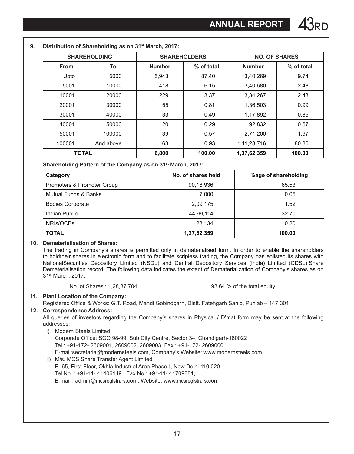|              | <b>SHAREHOLDING</b> | <b>SHAREHOLDERS</b> |            |               | <b>NO. OF SHARES</b> |
|--------------|---------------------|---------------------|------------|---------------|----------------------|
| <b>From</b>  | To                  | <b>Number</b>       | % of total | <b>Number</b> | % of total           |
| Upto         | 5000                | 5,943               | 87.40      | 13,40,269     | 9.74                 |
| 5001         | 10000               | 418                 | 6.15       | 3,40,680      | 2.48                 |
| 10001        | 20000               | 229                 | 3.37       | 3,34,267      | 2.43                 |
| 20001        | 30000               | 55                  | 0.81       | 1,36,503      | 0.99                 |
| 30001        | 40000               | 33                  | 0.49       | 1,17,892      | 0.86                 |
| 40001        | 50000               | 20                  | 0.29       | 92,832        | 0.67                 |
| 50001        | 100000              | 39                  | 0.57       | 2,71,200      | 1.97                 |
| 100001       | And above           | 63                  | 0.93       | 1,11,28,716   | 80.86                |
| <b>TOTAL</b> |                     | 6,800               | 100.00     | 1,37,62,359   | 100.00               |

**Shareholding Pattern of the Company as on 31st March, 2017:**

| Category                   | No. of shares held | %age of shareholding |
|----------------------------|--------------------|----------------------|
| Promoters & Promoter Group | 90,18,936          | 65.53                |
| Mutual Funds & Banks       | 7.000              | 0.05                 |
| <b>Bodies Corporate</b>    | 2,09,175           | 1.52                 |
| Indian Public              | 44,99,114          | 32.70                |
| NRIs/OCBs                  | 28.134             | 0.20                 |
| <b>TOTAL</b>               | 1,37,62,359        | 100.00               |

#### **10. Dematerialisation of Shares:**

The trading in Company's shares is permitted only in dematerialised form. In order to enable the shareholders to holdtheir shares in electronic form and to facilitate scripless trading, the Company has enlisted its shares with NationalSecurities Depository Limited (NSDL) and Central Depository Services (India) Limited (CDSL).Share Dematerialisation record: The following data indicates the extent of Dematerialization of Company's shares as on 31st March, 2017.

| No. of Shares: 1,28,87,704 | 93.64 % of the total equity. |
|----------------------------|------------------------------|
|----------------------------|------------------------------|

#### **11. Plant Location of the Company:**

Registered Office & Works: G.T. Road, Mandi Gobindgarh, Distt. Fatehgarh Sahib, Punjab – 147 301

#### **12. Correspondence Address:**

All queries of investors regarding the Company's shares in Physical / D'mat form may be sent at the following addresses:

- i) Modern Steels Limited
	- Corporate Office: SCO 98-99, Sub City Centre, Sector 34, Chandigarh-160022 Tel.: +91-172- 2609001, 2609002, 2609003, Fax.: +91-172- 2609000 E-mail:secretarial@modernsteels.com, Company's Website: www.modernsteels.com
- ii) M/s. MCS Share Transfer Agent Limited F- 65, First Floor, Okhla Industrial Area Phase-I, New Delhi 110 020. Tel.No. : +91-11- 41406149 , Fax No.: +91-11- 41709881, E-mail : admin@mcsregistrars.com, Website: www.mcsregistrars.com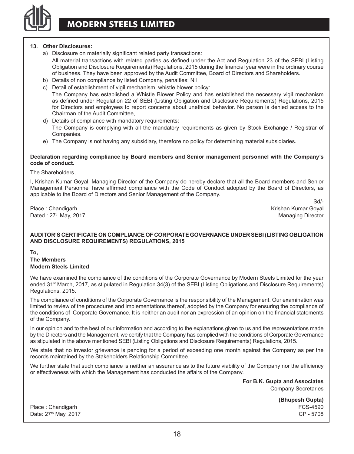

#### **13. Other Disclosures:**

- a) Disclosure on materially significant related party transactions: All material transactions with related parties as defined under the Act and Regulation 23 of the SEBI (Listing Obligation and Disclosure Requirements) Regulations, 2015 during the financial year were in the ordinary course of business. They have been approved by the Audit Committee, Board of Directors and Shareholders.
- b) Details of non compliance by listed Company, penalties: Nil
- c) Detail of establishment of vigil mechanism, whistle blower policy: The Company has established a Whistle Blower Policy and has established the necessary vigil mechanism as defined under Regulation 22 of SEBI (Listing Obligation and Disclosure Requirements) Regulations, 2015 for Directors and employees to report concerns about unethical behavior. No person is denied access to the Chairman of the Audit Committee,
- d) Details of compliance with mandatory requirements: The Company is complying with all the mandatory requirements as given by Stock Exchange / Registrar of Companies.
- e) The Company is not having any subsidiary, therefore no policy for determining material subsidiaries.

#### **Declaration regarding compliance by Board members and Senior management personnel with the Company's code of conduct.**

The Shareholders,

I, Krishan Kumar Goyal, Managing Director of the Company do hereby declare that all the Board members and Senior Management Personnel have affirmed compliance with the Code of Conduct adopted by the Board of Directors, as applicable to the Board of Directors and Senior Management of the Company.

Dated : 27<sup>th</sup> May, 2017 Managing Director Control of the United States of the Managing Director

Sd/- Place : Chandigarh Krishan Kumar Goyal

#### **AUDITOR'S CERTIFICATE ON COMPLIANCE OF CORPORATE GOVERNANCE UNDER SEBI (LISTING OBLIGATION AND DISCLOSURE REQUIREMENTS) REGULATIONS, 2015**

**To,**

**The Members Modern Steels Limited**

We have examined the compliance of the conditions of the Corporate Governance by Modern Steels Limited for the year ended 31st March, 2017, as stipulated in Regulation 34(3) of the SEBI (Listing Obligations and Disclosure Requirements) Regulations, 2015.

The compliance of conditions of the Corporate Governance is the responsibility of the Management. Our examination was limited to review of the procedures and implementations thereof, adopted by the Company for ensuring the compliance of the conditions of Corporate Governance. It is neither an audit nor an expression of an opinion on the financial statements of the Company.

In our opinion and to the best of our information and according to the explanations given to us and the representations made by the Directors and the Management, we certify that the Company has complied with the conditions of Corporate Governance as stipulated in the above mentioned SEBI (Listing Obligations and Disclosure Requirements) Regulations, 2015.

We state that no investor grievance is pending for a period of exceeding one month against the Company as per the records maintained by the Stakeholders Relationship Committee.

We further state that such compliance is neither an assurance as to the future viability of the Company nor the efficiency or effectiveness with which the Management has conducted the affairs of the Company.

> **For B.K. Gupta and Associates** Company Secretaries

> > **(Bhupesh Gupta)**

Place : Chandigarh FCS-4590 Date: 27<sup>th</sup> May, 2017 **CP** - 5708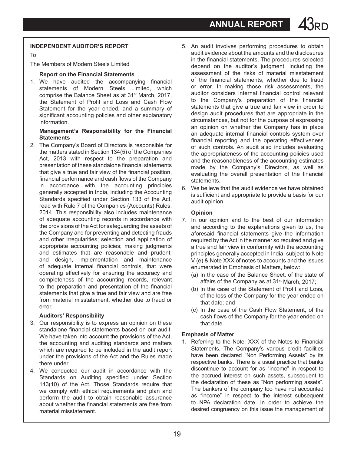#### **Independent Auditor's Report**

To

The Members of Modern Steels Limited

#### **Report on the Financial Statements**

1. We have audited the accompanying financial statements of Modern Steels Limited, which comprise the Balance Sheet as at 31<sup>st</sup> March, 2017. the Statement of Profit and Loss and Cash Flow Statement for the year ended, and a summary of significant accounting policies and other explanatory information.

#### **Management's Responsibility for the Financial statements**

2. The Company's Board of Directors is responsible for the matters stated in Section 134(5) of the Companies Act, 2013 with respect to the preparation and presentation of these standalone financial statements that give a true and fair view of the financial position, financial performance and cash flows of the Company in accordance with the accounting principles generally accepted in India, including the Accounting Standards specified under Section 133 of the Act, read with Rule 7 of the Companies (Accounts) Rules, 2014. This responsibility also includes maintenance of adequate accounting records in accordance with the provisions of the Act for safeguarding the assets of the Company and for preventing and detecting frauds and other irregularities; selection and application of appropriate accounting policies; making judgments and estimates that are reasonable and prudent; and design, implementation and maintenance of adequate internal financial controls, that were operating effectively for ensuring the accuracy and completeness of the accounting records, relevant to the preparation and presentation of the financial statements that give a true and fair view and are free from material misstatement, whether due to fraud or error.

#### **Auditors' Responsibility**

- 3. Our responsibility is to express an opinion on these standalone financial statements based on our audit. We have taken into account the provisions of the Act. the accounting and auditing standards and matters which are required to be included in the audit report under the provisions of the Act and the Rules made there under.
- 4. We conducted our audit in accordance with the Standards on Auditing specified under Section 143(10) of the Act. Those Standards require that we comply with ethical requirements and plan and perform the audit to obtain reasonable assurance about whether the financial statements are free from material misstatement.
- 5. An audit involves performing procedures to obtain audit evidence about the amounts and the disclosures in the financial statements. The procedures selected depend on the auditor's judgment, including the assessment of the risks of material misstatement of the financial statements, whether due to fraud or error. In making those risk assessments, the auditor considers internal financial control relevant to the Company's preparation of the financial statements that give a true and fair view in order to design audit procedures that are appropriate in the circumstances, but not for the purpose of expressing an opinion on whether the Company has in place an adequate internal financial controls system over financial reporting and the operating effectiveness of such controls. An audit also includes evaluating the appropriateness of the accounting policies used and the reasonableness of the accounting estimates made by the Company's Directors, as well as evaluating the overall presentation of the financial statements.
- 6. We believe that the audit evidence we have obtained is sufficient and appropriate to provide a basis for our audit opinion.

#### **Opinion**

- 7. In our opinion and to the best of our information and according to the explanations given to us, the aforesaid financial statements give the information required by the Act in the manner so required and give a true and fair view in conformity with the accounting principles generally accepted in India, subject to Note V (e) & Note XXX of notes to accounts and the issues enumerated in Emphasis of Matters, below:
	- (a) In the case of the Balance Sheet, of the state of affairs of the Company as at 31<sup>st</sup> March, 2017;
	- (b) In the case of the Statement of Profit and Loss, of the loss of the Company for the year ended on that date; and
	- (c) In the case of the Cash Flow Statement, of the cash flows of the Company for the year ended on that date.

#### **Emphasis of Matter**

1. Referring to the Note: XXX of the Notes to Financial Statements, The Company's various credit facilities have been declared "Non Performing Assets" by its respective banks. There is a usual practice that banks discontinue to account for as "income" in respect to the accrued interest on such assets, subsequent to the declaration of these as "Non performing assets". The bankers of the company too have not accounted as "income" in respect to the interest subsequent to NPA declaration date. In order to achieve the desired congruency on this issue the management of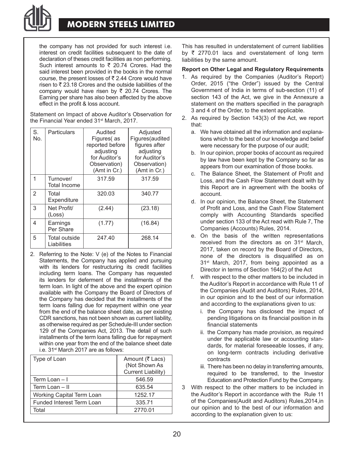

### **MODERN STEELS LIMITED**

the company has not provided for such interest i.e. interest on credit facilities subsequent to the date of declaration of theses credit facilities as non performing. Such interest amounts to  $\bar{\tau}$  20.74 Crores. Had the said interest been provided in the books in the normal course, the present losses of  $\bar{\bar{\tau}}$  2.44 Crore would have risen to  $\bar{\tau}$  23.18 Crores and the outside liabilities of the company would have risen by  $\bar{\tau}$  20.74 Crores. The Earning per share has also been affected by the above effect in the profit & loss account.

Statement on Impact of above Auditor's Observation for the Financial Year ended 31<sup>st</sup> March, 2017.

| S.<br>No.      | Particulars                  | Audited<br>Figures(as<br>reported before<br>adjusting<br>for Auditor's<br>Observation)<br>(Amt in Cr.) | Adjusted<br>Figures(audited<br>figures after<br>adjusting<br>for Auditor's<br>Observation)<br>(Amt in Cr.) |
|----------------|------------------------------|--------------------------------------------------------------------------------------------------------|------------------------------------------------------------------------------------------------------------|
| 1              | Turnover/<br>Total Income    | 317.59                                                                                                 | 317.59                                                                                                     |
| $\overline{2}$ | Total<br>Expenditure         | 320.03                                                                                                 | 340.77                                                                                                     |
| 3              | Net Profit/<br>(Loss)        | (2.44)                                                                                                 | (23.18)                                                                                                    |
| 4              | Earnings<br>Per Share        | (1.77)                                                                                                 | (16.84)                                                                                                    |
| 5              | Total outside<br>Liabilities | 247.40                                                                                                 | 268.14                                                                                                     |

2. Referring to the Note: V (e) of the Notes to Financial Statements, the Company has applied and pursuing with its lenders for restructuring its credit facilities including term loans. The Company has requested its lenders for deferment of the installments of the term loan. In light of the above and the expert opinion available with the Company the Board of Directors of the Company has decided that the installments of the term loans falling due for repayment within one year from the end of the balance sheet date, as per existing CDR sanctions, has not been shown as current liability, as otherwise required as per Schedule-III under section 129 of the Companies Act, 2013. The detail of such installments of the term loans falling due for repayment within one year from the end of the balance sheet date i.e. 31<sup>st</sup> March 2017 are as follows:

| Type of Loan              | Amount (₹ Lacs)<br>(Not Shown As)<br>Current Liability) |
|---------------------------|---------------------------------------------------------|
| Term Loan - I             | 546.59                                                  |
| Term Loan - II            | 635.54                                                  |
| Working Capital Term Loan | 1252.17                                                 |
| Funded Interest Term Loan | 335.71                                                  |
| Total                     | 2770.01                                                 |

This has resulted in understatement of current liabilities by  $\bar{\tau}$  2770.01 lacs and overstatement of long term liabilities by the same amount.

#### **Report on Other Legal and Regulatory Requirements**

- 1. As required by the Companies (Auditor's Report) Order, 2015 ("the Order") issued by the Central Government of India in terms of sub-section (11) of section 143 of the Act, we give in the Annexure a statement on the matters specified in the paragraph 3 and 4 of the Order, to the extent applicable.
- 2. As required by Section 143(3) of the Act, we report that:
	- a. We have obtained all the information and explanations which to the best of our knowledge and belief were necessary for the purpose of our audit;
	- b. In our opinion, proper books of account as required by law have been kept by the Company so far as appears from our examination of those books.
	- c. The Balance Sheet, the Statement of Profit and Loss, and the Cash Flow Statement dealt with by this Report are in agreement with the books of account.
	- d. In our opinion, the Balance Sheet, the Statement of Profit and Loss, and the Cash Flow Statement comply with Accounting Standards specified under section 133 of the Act read with Rule 7, The Companies (Accounts) Rules, 2014.
	- e. On the basis of the written representations received from the directors as on 31<sup>st</sup> March. 2017, taken on record by the Board of Directors, none of the directors is disqualified as on 31<sup>st</sup> March, 2017, from being appointed as a Director in terms of Section 164(2) of the Act
	- f. with respect to the other matters to be included in the Auditor's Report in accordance with Rule 11 of the Companies (Audit and Auditors) Rules, 2014, in our opinion and to the best of our information and according to the explanations given to us:
		- i. the Company has disclosed the impact of pending litigations on its financial position in its financial statements
		- ii. the Company has made provision, as required under the applicable law or accounting standards, for material foreseeable losses, if any, on long-term contracts including derivative contracts
		- iii. There has been no delay in transferring amounts, required to be transferred, to the Investor Education and Protection Fund by the Company.
- 3 With respect to the other matters to be included in the Auditor's Report in accordance with the Rule 11 of the Companies(Audit and Auditors) Rules,2014,in our opinion and to the best of our information and according to the explanation given to us: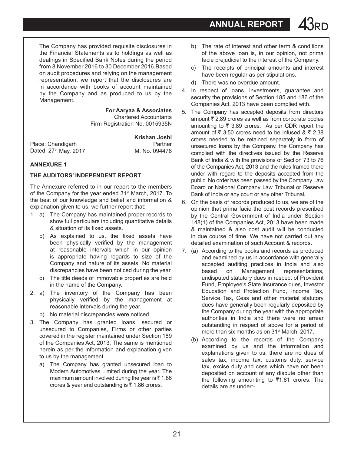The Company has provided requisite disclosures in the Financial Statements as to holdings as well as dealings in Specified Bank Notes during the period from 8 November 2016 to 30 December 2016.Based on audit procedures and relying on the management representation, we report that the disclosures are in accordance with books of account maintained by the Company and as produced to us by the Management.

> **For Aaryaa & Associates** Chartered Accountants Firm Registration No. 0015935N

> > **Krishan Joshi**

Place: Chandigarh **Partner** Partner<br>
Dated: 27<sup>th</sup> May. 2017 **Partner Partner** M. No. 094478 Dated: 27<sup>th</sup> May, 2017

#### **ANNEXURE 1**

#### **THE AUDITORS' INDEPENDENT REPORT**

The Annexure referred to in our report to the members of the Company for the year ended 31st March, 2017. To the best of our knowledge and belief and information & explanation given to us, we further report that:

- 1. a) The Company has maintained proper records to show full particulars including quantitative details & situation of its fixed assets.
	- b) As explained to us, the fixed assets have been physically verified by the management at reasonable intervals which in our opinion is appropriate having regards to size of the Company and nature of its assets. No material discrepancies have been noticed during the year.
	- c) The title deeds of immovable properties are held in the name of the Company.
- 2. a) The inventory of the Company has been physically verified by the management at reasonable intervals during the year.
	- b) No material discrepancies were noticed.
- 3. The Company has granted loans, secured or unsecured to Companies, Firms or other parties covered in the register maintained under Section 189 of the Companies Act, 2013. The same is mentioned herein as per the information and explanation given to us by the management.
	- a) The Company has granted unsecured loan to Modern Automotives Limited during the year. The maximum amount involved during the year is  $\bar{\tau}$  1.86 crores & year end outstanding is  $\overline{5}$  1.86 crores.
- b) The rate of interest and other term & conditions of the above loan is, in our opinion, not prima facie prejudicial to the interest of the Company.
- c) The receipts of principal amounts and interest have been regular as per stipulations.
- d) There was no overdue amount.
- 4. In respect of loans, investments, guarantee and security the provisions of Section 185 and 186 of the Companies Act, 2013 have been complied with.
- 5. The Company has accepted deposits from directors amount  $\bar{\tau}$  2.89 crores as well as from corporate bodies amounting to  $\bar{\tau}$  3.89 crores. As per CDR report the amount of  $\bar{\tau}$  3.50 crores need to be infused &  $\bar{\tau}$  2.38 crores needed to be retained separately in form of unsecured loans by the Company, the Company has complied with the directives issued by the Reserve Bank of India & with the provisions of Section 73 to 76 of the Companies Act, 2013 and the rules framed there under with regard to the deposits accepted from the public. No order has been passed by the Company Law Board or National Company Law Tribunal or Reserve Bank of India or any court or any other Tribunal.
- 6. On the basis of records produced to us, we are of the opinion that prima facie the cost records prescribed by the Central Government of India under Section 148(1) of the Companies Act, 2013 have been made & maintained & also cost audit will be conducted in due course of time. We have not carried out any detailed examination of such Account & records.
- 7. (a) According to the books and records as produced and examined by us in accordance with generally accepted auditing practices in India and also<br>based on Management representations, on Management representations, undisputed statutory dues in respect of Provident Fund, Employee's State Insurance dues, Investor Education and Protection Fund, Income Tax, Service Tax, Cess and other material statutory dues have generally been regularly deposited by the Company during the year with the appropriate authorities in India and there were no arrear outstanding in respect of above for a period of more than six months as on 31<sup>st</sup> March, 2017.
	- (b) According to the records of the Company examined by us and the information and explanations given to us, there are no dues of sales tax, income tax, customs duty, service tax, excise duty and cess which have not been deposited on account of any dispute other than the following amounting to  $\overline{5}1.81$  crores. The details are as under:-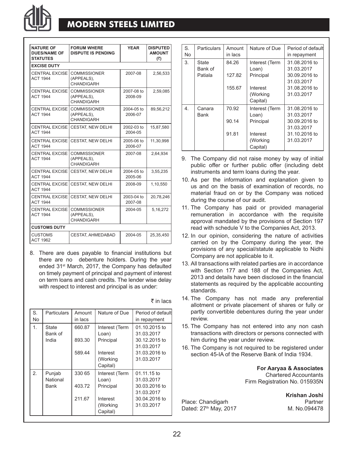

### **MODERN STEELS LIMITED**

| <b>NATURE OF</b><br><b>DUES/NAME OF</b><br><b>STATUTES</b> | <b>FORUM WHERE</b><br><b>DISPUTE IS PENDING</b> | <b>YFAR</b>           | <b>DISPUTED</b><br><b>AMOUNT</b><br>(₹) |
|------------------------------------------------------------|-------------------------------------------------|-----------------------|-----------------------------------------|
| <b>EXCISE DUTY</b>                                         |                                                 |                       |                                         |
| CENTRAL EXCISE<br><b>ACT 1944</b>                          | <b>COMMISSIONER</b><br>(APPEALS).<br>CHANDIGARH | 2007-08               | 2,56,533                                |
| <b>CENTRAL EXCISE</b><br><b>ACT 1944</b>                   | <b>COMMISSIONER</b><br>(APPEALS).<br>CHANDIGARH | 2007-08 to<br>2008-09 | 2,59,085                                |
| CENTRAL EXCISE<br><b>ACT 1944</b>                          | <b>COMMISSIONER</b><br>(APPEALS),<br>CHANDIGARH | 2004-05 to<br>2006-07 | 89,56,212                               |
| CENTRAL EXCISE<br><b>ACT 1944</b>                          | <b>CESTAT. NEW DELHI</b>                        | 2002-03 to<br>2004-05 | 15,87,580                               |
| <b>CENTRAL EXCISE</b><br><b>ACT 1944</b>                   | <b>CESTAT, NEW DELHI</b>                        | 2005-06 to<br>2006-07 | 11,30,998                               |
| CENTRAL EXCISE<br><b>ACT 1944</b>                          | <b>COMMISSIONER</b><br>(APPEALS),<br>CHANDIGARH | 2007-08               | 2,64,934                                |
| <b>CENTRAL EXCISE</b><br><b>ACT 1944</b>                   | <b>CESTAT, NEW DELHI</b>                        | 2004-05 to<br>2005-06 | 3,55,235                                |
| CENTRAL EXCISE<br><b>ACT 1944</b>                          | CESTAT, NEW DELHI                               | 2008-09               | 1,10,550                                |
| <b>CENTRAL EXCISE</b><br><b>ACT 1944</b>                   | CESTAT, NEW DELHI                               | 2003-04 to<br>2007-08 | 20,78,246                               |
| <b>CENTRAL EXCISE</b><br><b>ACT 1944</b>                   | <b>COMMISSIONER</b><br>(APPEALS).<br>CHANDIGARH | 2004-05               | 5, 16, 272                              |
| <b>CUSTOMS DUTY</b>                                        |                                                 |                       |                                         |
| <b>CUSTOMS</b><br><b>ACT 1962</b>                          | CESTAT, AHMEDABAD                               | 2004-05               | 25,35,450                               |

8. There are dues payable to financial institutions but there are no debenture holders. During the year ended 31<sup>st</sup> March, 2017, the Company has defaulted on timely payment of principal and payment of interest on term loans and cash credits. The lender wise delay with respect to interest and principal is as under:

| S.<br>No | Particulars                      | Amount<br>in lacs | Nature of Due                        | Period of default<br>in repayment            |
|----------|----------------------------------|-------------------|--------------------------------------|----------------------------------------------|
| 1.       | <b>State</b><br>Bank of<br>India | 660.87<br>893.30  | Interest (Term<br>Loan)<br>Principal | 01.10.2015 to<br>31.03.2017<br>30.12.2015 to |
|          |                                  |                   |                                      | 31.03.2017                                   |
|          |                                  | 589.44            | Interest                             | 31.03.2016 to                                |
|          |                                  |                   | (Working                             | 31.03.2017                                   |
|          |                                  |                   | Capital)                             |                                              |
| 2.       | Punjab                           | 330 65            | Interest (Term                       | 01.11.15 to                                  |
|          | National                         |                   | Loan)                                | 31.03.2017                                   |
|          | <b>Bank</b>                      | 403.72            | Principal                            | 30.03.2016 to                                |
|          |                                  |                   |                                      | 31.03.2017                                   |
|          |                                  | 211.67            | Interest                             | 30.04.2016 to                                |
|          |                                  |                   | (Working                             | 31.03.2017                                   |
|          |                                  |                   | Capital)                             |                                              |
|          |                                  |                   |                                      |                                              |

 $\bar{\bar{\tau}}$  in lacs

| S.<br>No. | <b>Particulars</b> | Amount<br>in lacs | Nature of Due                    | Period of default<br>in repayment |
|-----------|--------------------|-------------------|----------------------------------|-----------------------------------|
| 3.        | State<br>Bank of   | 84.26             | Interest (Term<br>Loan)          | 31.08.2016 to<br>31.03.2017       |
|           | Patiala            | 127.82            | Principal                        | 30.09.2016 to<br>31.03.2017       |
|           |                    | 155.67            | Interest<br>(Working<br>Capital) | 31.08.2016 to<br>31.03.2017       |
| 4         | Canara<br>Bank     | 70.92             | Interest (Term<br>Loan)          | 31.08.2016 to<br>31.03.2017       |
|           |                    | 90.14             | Principal                        | 30.09.2016 to<br>31.03.2017       |
|           |                    | 91.81             | Interest<br>(Working<br>Capital) | 31.10.2016 to<br>31.03.2017       |

- 9. The Company did not raise money by way of initial public offer or further public offer (including debt instruments and term loans during the year.
- 10. As per the information and explanation given to us and on the basis of examination of records, no material fraud on or by the Company was noticed during the course of our audit.
- 11. The Company has paid or provided managerial remuneration in accordance with the requisite approval mandated by the provisions of Section 197 read with schedule V to the Companies Act, 2013.
- 12. In our opinion, considering the nature of activities carried on by the Company during the year, the provisions of any special/statute applicable to Nidhi Company are not applicable to it.
- 13. All transactions with related parties are in accordance with Section 177 and 188 of the Companies Act, 2013 and details have been disclosed in the financial statements as required by the applicable accounting standards.
- 14. The Company has not made any preferential allotment or private placement of shares or fully or partly convertible debentures during the year under review.
- 15. The Company has not entered into any non cash transactions with directors or persons connected with him during the year under review.
- 16. The Company is not required to be registered under section 45-IA of the Reserve Bank of India 1934.

**For Aaryaa & Associates** Chartered Accountants Firm Registration No. 015935N

**Krishan Joshi** Place: Chandigarh **Place: Chandigarh** Partner<br>Dated: 27<sup>th</sup> May, 2017 **Partner** M. No.094478

Dated: 27<sup>th</sup> May, 2017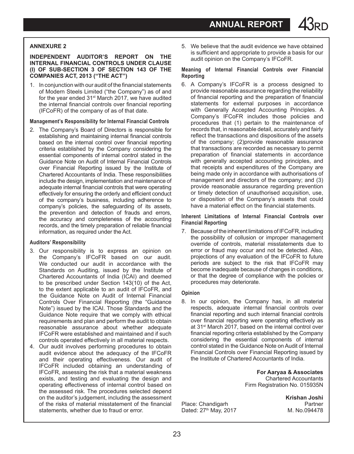**ANNUAL REPORT** 

#### **Annexure 2**

#### **Independent Auditor's report on the Internal Financial Controls under Clause (i) of Sub-section 3 of Section 143 of the Companies Act, 2013 ("the Act")**

1. In conjunction with our audit of the financial statements of Modern Steels Limited ("the Company") as of and for the year ended 31st March 2017, we have audited the internal financial controls over financial reporting (IFCoFR) of the company of as of that date.

#### **Management's Responsibility for Internal Financial Controls**

2. The Company's Board of Directors is responsible for establishing and maintaining internal financial controls based on the internal control over financial reporting criteria established by the Company considering the essential components of internal control stated in the Guidance Note on Audit of Internal Financial Controls over Financial Reporting issued by the Institute of Chartered Accountants of India. These responsibilities include the design, implementation and maintenance of adequate internal financial controls that were operating effectively for ensuring the orderly and efficient conduct of the company's business, including adherence to company's policies, the safeguarding of its assets, the prevention and detection of frauds and errors, the accuracy and completeness of the accounting records, and the timely preparation of reliable financial information, as required under the Act.

#### **Auditors' Responsibility**

- 3. Our responsibility is to express an opinion on the Company's IFCoFR based on our audit. We conducted our audit in accordance with the Standards on Auditing, issued by the Institute of Chartered Accountants of India (ICAI) and deemed to be prescribed under Section 143(10) of the Act, to the extent applicable to an audit of IFCoFR, and the Guidance Note on Audit of Internal Financial Controls Over Financial Reporting (the "Guidance Note") issued by the ICAI. Those Standards and the Guidance Note require that we comply with ethical requirements and plan and perform the audit to obtain reasonable assurance about whether adequate IFCoFR were established and maintained and if such controls operated effectively in all material respects.
- 4. Our audit involves performing procedures to obtain audit evidence about the adequacy of the IFCoFR and their operating effectiveness. Our audit of IFCoFR included obtaining an understanding of IFCoFR, assessing the risk that a material weakness exists, and testing and evaluating the design and operating effectiveness of internal control based on the assessed risk. The procedures selected depend on the auditor's judgement, including the assessment of the risks of material misstatement of the financial statements, whether due to fraud or error.

5. We believe that the audit evidence we have obtained is sufficient and appropriate to provide a basis for our audit opinion on the Company's IFCoFR.

#### **Meaning of Internal Financial Controls over Financial Reporting**

6. A Company's IFCoFR is a process designed to provide reasonable assurance regarding the reliability of financial reporting and the preparation of financial statements for external purposes in accordance with Generally Accepted Accounting Principles. A Company's IFCoFR includes those policies and procedures that (1) pertain to the maintenance of records that, in reasonable detail, accurately and fairly reflect the transactions and dispositions of the assets of the company; (2)provide reasonable assurance that transactions are recorded as necessary to permit preparation of financial statements in accordance with generally accepted accounting principles, and that receipts and expenditures of the Company are being made only in accordance with authorisations of management and directors of the company; and (3) provide reasonable assurance regarding prevention or timely detection of unauthorised acquisition, use, or disposition of the Company's assets that could have a material effect on the financial statements.

**Inherent Limitations of Internal Financial Controls over Financial Reporting**

7. Because of the inherent limitations of IFCoFR, including the possibility of collusion or improper management override of controls, material misstatements due to error or fraud may occur and not be detected. Also, projections of any evaluation of the IFCoFR to future periods are subject to the risk that IFCoFR may become inadequate because of changes in conditions, or that the degree of compliance with the policies or procedures may deteriorate.

#### **Opinion**

8. In our opinion, the Company has, in all material respects, adequate internal financial controls over financial reporting and such internal financial controls over financial reporting were operating effectively as at 31st March 2017, based on the internal control over financial reporting criteria established by the Company considering the essential components of internal control stated in the Guidance Note on Audit of Internal Financial Controls over Financial Reporting issued by the Institute of Chartered Accountants of India.

> **For Aaryaa & Associates** Chartered Accountants Firm Registration No. 015935N

**Krishan Joshi** Place: Chandigarh **Place:** Chandigarh Partner<br>Dated: 27<sup>th</sup> May. 2017 **Partners** M. No.094478

Dated: 27<sup>th</sup> May, 2017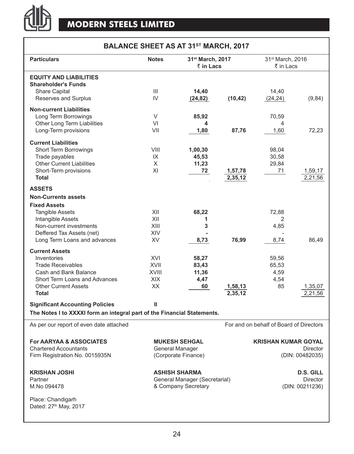

### **Balance Sheet as at 31st March, 2017**

| <b>Particulars</b>                                                      | <b>Notes</b><br>31 <sup>st</sup> March, 2017 |                               |          | 31 <sup>st</sup> March, 2016            |                  |
|-------------------------------------------------------------------------|----------------------------------------------|-------------------------------|----------|-----------------------------------------|------------------|
|                                                                         |                                              | $\bar{z}$ in Lacs             |          | ₹ in Lacs                               |                  |
| <b>EQUITY AND LIABILITIES</b>                                           |                                              |                               |          |                                         |                  |
| <b>Shareholder's Funds</b>                                              |                                              |                               |          |                                         |                  |
| <b>Share Capital</b>                                                    | Ш                                            | 14,40                         |          | 14,40                                   |                  |
| Reserves and Surplus                                                    | IV                                           | (24, 82)                      | (10, 42) | (24, 24)                                | (9, 84)          |
| <b>Non-current Liabilities</b>                                          |                                              |                               |          |                                         |                  |
| Long Term Borrowings                                                    | V                                            | 85,92                         |          | 70,59                                   |                  |
| Other Long Term Liabilities                                             | VI                                           | 4                             |          | 4                                       |                  |
| Long-Term provisions                                                    | VII                                          | 1,80                          | 87,76    | 1,60                                    | 72,23            |
|                                                                         |                                              |                               |          |                                         |                  |
| <b>Current Liabilities</b>                                              |                                              |                               |          |                                         |                  |
| <b>Short Term Borrowings</b>                                            | VIII                                         | 1,00,30                       |          | 98,04                                   |                  |
| Trade payables                                                          | IX                                           | 45,53                         |          | 30,58                                   |                  |
| <b>Other Current Liabilities</b>                                        | X                                            | 11,23                         |          | 29,84                                   |                  |
| Short-Term provisions                                                   | XI                                           | 72                            | 1,57,78  | 71                                      | 1,59,17          |
| <b>Total</b>                                                            |                                              |                               | 2,35,12  |                                         | 2,21,56          |
| <b>ASSETS</b>                                                           |                                              |                               |          |                                         |                  |
| <b>Non-Currents assets</b>                                              |                                              |                               |          |                                         |                  |
| <b>Fixed Assets</b>                                                     |                                              |                               |          |                                         |                  |
| <b>Tangible Assets</b>                                                  | XII                                          | 68,22                         |          | 72,88                                   |                  |
| Intangible Assets                                                       | XII                                          | 1                             |          | 2                                       |                  |
| Non-current investments                                                 | XIII                                         | 3                             |          | 4,85                                    |                  |
| Deffered Tax Assets (net)                                               | <b>XIV</b>                                   |                               |          |                                         |                  |
| Long Term Loans and advances                                            | XV                                           | 8,73                          | 76,99    | 8,74                                    | 86,49            |
|                                                                         |                                              |                               |          |                                         |                  |
| <b>Current Assets</b>                                                   |                                              |                               |          |                                         |                  |
| Inventories                                                             | XVI                                          | 58,27                         |          | 59,56                                   |                  |
| <b>Trade Receivables</b>                                                | XVII                                         | 83,43                         |          | 65,53                                   |                  |
| Cash and Bank Balance                                                   | <b>XVIII</b>                                 | 11,36                         |          | 4,59                                    |                  |
| Short Term Loans and Advances                                           | <b>XIX</b>                                   | 4,47                          |          | 4,54                                    |                  |
| <b>Other Current Assets</b>                                             | XX                                           | 60                            | 1,58,13  | 85                                      | 1,35,07          |
| <b>Total</b>                                                            |                                              |                               | 2,35,12  |                                         | 2,21,56          |
| <b>Significant Accounting Policies</b>                                  | Ш                                            |                               |          |                                         |                  |
| The Notes I to XXXXI form an integral part of the Financial Statements. |                                              |                               |          |                                         |                  |
|                                                                         |                                              |                               |          |                                         |                  |
| As per our report of even date attached                                 |                                              |                               |          | For and on behalf of Board of Directors |                  |
| <b>For AARYAA &amp; ASSOCIATES</b>                                      |                                              | <b>MUKESH SEHGAL</b>          |          | <b>KRISHAN KUMAR GOYAL</b>              |                  |
| <b>Chartered Accountants</b>                                            |                                              | General Manager               |          |                                         | <b>Director</b>  |
| Firm Registration No. 0015935N                                          |                                              | (Corporate Finance)           |          |                                         | (DIN: 00482035)  |
|                                                                         |                                              |                               |          |                                         |                  |
| <b>KRISHAN JOSHI</b>                                                    |                                              | <b>ASHISH SHARMA</b>          |          |                                         | <b>D.S. GILL</b> |
| Partner                                                                 |                                              | General Manager (Secretarial) |          |                                         | Director         |
| M.No 094478                                                             |                                              | & Company Secretary           |          |                                         | (DIN: 00211236)  |
|                                                                         |                                              |                               |          |                                         |                  |
| Place: Chandigarh                                                       |                                              |                               |          |                                         |                  |
| Dated: 27th May, 2017                                                   |                                              |                               |          |                                         |                  |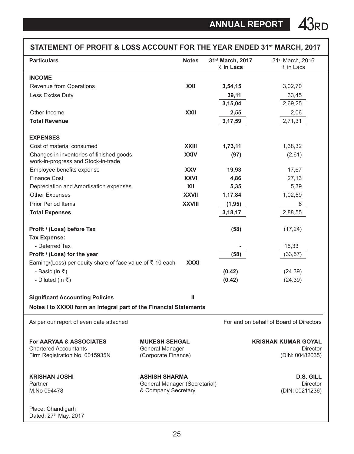| STATEMENT OF PROFIT & LOSS ACCOUNT FOR THE YEAR ENDED 31st MARCH, 2017                               |                                                                              |               |                               |                                                                  |
|------------------------------------------------------------------------------------------------------|------------------------------------------------------------------------------|---------------|-------------------------------|------------------------------------------------------------------|
| <b>Particulars</b>                                                                                   |                                                                              | <b>Notes</b>  | 31st March, 2017<br>₹ in Lacs | 31 <sup>st</sup> March, 2016<br>₹ in Lacs                        |
| <b>INCOME</b>                                                                                        |                                                                              |               |                               |                                                                  |
| Revenue from Operations                                                                              |                                                                              | XXI           | 3,54,15                       | 3,02,70                                                          |
| Less Excise Duty                                                                                     |                                                                              |               | 39,11                         | 33,45                                                            |
|                                                                                                      |                                                                              |               | 3,15,04                       | 2,69,25                                                          |
| Other Income                                                                                         |                                                                              | <b>XXII</b>   | 2,55                          | 2,06                                                             |
| <b>Total Revenue</b>                                                                                 |                                                                              |               | 3,17,59                       | 2,71,31                                                          |
| <b>EXPENSES</b>                                                                                      |                                                                              |               |                               |                                                                  |
| Cost of material consumed                                                                            |                                                                              | <b>XXIII</b>  | 1,73,11                       | 1,38,32                                                          |
| Changes in inventories of finished goods,<br>work-in-progress and Stock-in-trade                     |                                                                              | <b>XXIV</b>   | (97)                          | (2,61)                                                           |
| Employee benefits expense                                                                            |                                                                              | <b>XXV</b>    | 19,93                         | 17,67                                                            |
| <b>Finance Cost</b>                                                                                  |                                                                              | <b>XXVI</b>   | 4,86                          | 27,13                                                            |
| Depreciation and Amortisation expenses                                                               |                                                                              | XII           | 5,35                          | 5,39                                                             |
| <b>Other Expenses</b>                                                                                |                                                                              | <b>XXVII</b>  | 1,17,84                       | 1,02,59                                                          |
| <b>Prior Period Items</b>                                                                            |                                                                              | <b>XXVIII</b> | (1, 95)                       | 6                                                                |
| <b>Total Expenses</b>                                                                                |                                                                              |               | 3,18,17                       | 2,88,55                                                          |
| Profit / (Loss) before Tax                                                                           |                                                                              |               | (58)                          | (17, 24)                                                         |
| <b>Tax Expense:</b>                                                                                  |                                                                              |               |                               |                                                                  |
| - Deferred Tax                                                                                       |                                                                              |               |                               | 16,33                                                            |
| Profit / (Loss) for the year                                                                         |                                                                              |               | (58)                          | (33, 57)                                                         |
| Earning/(Loss) per equity share of face value of ₹ 10 each                                           |                                                                              | <b>XXXI</b>   |                               |                                                                  |
| - Basic (in $\bar{x}$ )                                                                              |                                                                              |               | (0.42)                        | (24.39)                                                          |
| - Diluted (in $\bar{\tau}$ )                                                                         |                                                                              |               | (0.42)                        | (24.39)                                                          |
| <b>Significant Accounting Policies</b>                                                               |                                                                              | ш             |                               |                                                                  |
| Notes I to XXXXI form an integral part of the Financial Statements                                   |                                                                              |               |                               |                                                                  |
| As per our report of even date attached                                                              |                                                                              |               |                               | For and on behalf of Board of Directors                          |
| <b>For AARYAA &amp; ASSOCIATES</b><br><b>Chartered Accountants</b><br>Firm Registration No. 0015935N | <b>MUKESH SEHGAL</b><br>General Manager<br>(Corporate Finance)               |               |                               | <b>KRISHAN KUMAR GOYAL</b><br><b>Director</b><br>(DIN: 00482035) |
| KRISHAN JOSHI<br>Partner<br>M.No 094478                                                              | <b>ASHISH SHARMA</b><br>General Manager (Secretarial)<br>& Company Secretary |               |                               | <b>D.S. GILL</b><br><b>Director</b><br>(DIN: 00211236)           |
| Place: Chandigarh<br>Dated: 27th May, 2017                                                           |                                                                              |               |                               |                                                                  |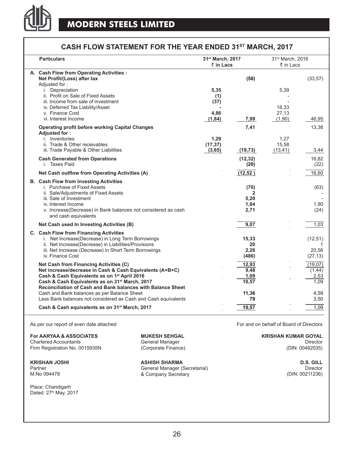

### **CASH FLOW STATEMENT FOR THE YEAR ENDED 31ST MARCH, 2017**

| <b>Particulars</b>                                                                                                        | 31st March, 2017  |              | 31 <sup>st</sup> March, 2016 |          |
|---------------------------------------------------------------------------------------------------------------------------|-------------------|--------------|------------------------------|----------|
|                                                                                                                           | $\bar{z}$ in Lacs |              | ₹ in Lacs                    |          |
| A. Cash Flow from Operating Activities :                                                                                  |                   |              |                              |          |
| Net Profit/(Loss) after tax                                                                                               |                   | (58)         |                              | (33, 57) |
| Adjusted for:<br>i. Depreciation                                                                                          | 5,35              |              | 5,39                         |          |
| ii. Profit on Sale of Fixed Assets                                                                                        | (1)               |              |                              |          |
| iii. Income from sale of investment                                                                                       | (37)              |              |                              |          |
| iv. Deferred Tax Liability/Asset                                                                                          |                   |              | 16,33                        |          |
| v. Finance Cost                                                                                                           | 4,86              |              | 27,13                        |          |
| vi. Interest Income                                                                                                       | (1, 84)           | 7,99         | (1,90)                       | 46,95    |
| <b>Operating profit before working Capital Changes</b>                                                                    |                   | 7,41         |                              | 13,38    |
| Adiusted for:                                                                                                             |                   |              |                              |          |
| i. Inventories                                                                                                            | 1,29              |              | 1,27                         |          |
| ii. Trade & Other receivables<br>iii. Trade Payable & Other Liabilities                                                   | (17, 37)          |              | 15,58                        | 3,44     |
|                                                                                                                           | (3, 65)           | (19, 73)     | (13, 41)                     |          |
| <b>Cash Generated from Operations</b>                                                                                     |                   | (12, 32)     |                              | 16,82    |
| i. Taxes Paid                                                                                                             |                   | (20)         |                              | (22)     |
| Net Cash outflow from Operating Activities (A)                                                                            |                   | (12, 52)     |                              | 16,60    |
| <b>B.</b> Cash Flow from Investing Activities                                                                             |                   |              |                              |          |
| i. Purchase of Fixed Assets                                                                                               |                   | (70)         |                              | (63)     |
| ii. Sale/Adjustments of Fixed Assets                                                                                      |                   | 2            |                              |          |
| iii. Sale of Investment<br>iv. Interest Income                                                                            |                   | 5,20<br>1,84 |                              | 1.90     |
| v. Increase(Decrease) in Bank balances not considered as cash                                                             |                   | 2,71         |                              | (24)     |
| and cash equivalents                                                                                                      |                   |              |                              |          |
| Net Cash used In Investing Activities (B)                                                                                 |                   | 9,07         |                              | 1.03     |
| C. Cash Flow from Financing Activities                                                                                    |                   |              |                              |          |
| i. Net Increase(Decrease) in Long Term Borrowings                                                                         |                   | 15,33        |                              | (12, 51) |
| ii. Net Increase (Decrease) in Liabilities/Provisions                                                                     |                   | 20           |                              | 1        |
| iii. Net Increase (Decrease) in Short Term Borrowings                                                                     |                   | 2,26         |                              | 20,56    |
| iv. Finance Cost                                                                                                          |                   | (486)        |                              | (27, 13) |
| Net Cash from Financing Activities (C)                                                                                    |                   | 12,93        |                              | (19,07)  |
| Net increase/decrease in Cash & Cash Equivalents (A+B+C)                                                                  |                   | 9,48         |                              | (1, 44)  |
| Cash & Cash Equivalents as on 1 <sup>st</sup> April 2016                                                                  |                   | 1,09         |                              | 2,53     |
| Cash & Cash Equivalents as on 31 <sup>st</sup> March, 2017<br>Reconciliation of Cash and Bank balances with Balance Sheet |                   | 10,57        |                              | 1,09     |
| Cash and Bank balances as per Balance Sheet                                                                               |                   | 11,36        |                              | 4,59     |
| Less Bank balances not considered as Cash and Cash equivalents                                                            |                   | 79           |                              | 3,50     |
| Cash & Cash equivalents as on 31 <sup>st</sup> March, 2017                                                                |                   | 10,57        |                              | 1,09     |
|                                                                                                                           |                   |              |                              |          |

As per our report of even date attached For and on behalf of Board of Directors

**For Aaryaa & Associates Mukesh Sehgal Krishan Kumar Goyal** Chartered Accountants Firm Registration No. 0015935N

Place: Chandigarh Dated: 27<sup>th</sup> May, 2017 General Manager (Corporate Finance)

**KRISHAN JOSHI ASHISH SHARMA D.S. Gill** Partner General Manager (Secretarial) & Company Secretary M.No 094478 (DIN: 00211236)

Director (DIN: 00482035)

Director<br>(DIN: 00211236)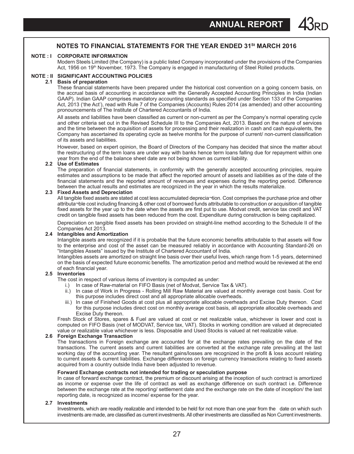#### **Notes to Financial Statements for the year ended 31St March 2016**

#### **NOTE : I CORPORATE INFORMATION**

Modern Steels Limited (the Company) is a public listed Company incorporated under the provisions of the Companies Act, 1956 on 19<sup>th</sup> November, 1973. The Company is engaged in manufacturing of Steel Rolled products.

#### **NOTE : II SIGNIFICANT ACCOUNTING POLICIES**

#### **2.1 Basis of preparation**

These financial statements have been prepared under the historical cost convention on a going concern basis, on the accrual basis of accounting in accordance with the Generally Accepted Accounting Principles in India (Indian GAAP). Indian GAAP comprises mandatory accounting standards as specified under Section 133 of the Companies Act, 2013 ('the Act'), read with Rule 7 of the Companies (Accounts) Rules 2014 (as amended) and other accounting pronouncements of The Institute of Chartered Accountants of India.

All assets and liabilities have been classified as current or non-current as per the Company's normal operating cycle and other criteria set out in the Revised Schedule III to the Companies Act, 2013. Based on the nature of services and the time between the acquisition of assets for processing and their realization in cash and cash equivalents, the Company has ascertained its operating cycle as twelve months for the purpose of current/ non-current classification of its assets and liabilities.

However, based on expert opinion, the Board of Directors of the Company has decided that since the matter about the restructuring of the term loans are under way with banks hence term loans falling due for repayment within one year from the end of the balance sheet date are not being shown as current liability.

#### **2.2 Use of Estimates**

The preparation of financial statements, in conformity with the generally accepted accounting principles, require estimates and assumptions to be made that affect the reported amount of assets and liabilities as of the date of the financial statements and the reported amount of revenues and expenses during the reporting period. Difference between the actual results and estimates are recognized in the year in which the results materialize.

#### **2.3 Fixed Assets and Depreciation**

All tangible fixed assets are stated at cost less accumulated deprecia¬tion. Cost comprises the purchase price and other attributa¬ble cost including financing & other cost of borrowed funds attributable to construction or acquisition of tangible fixed assets for the year up to the date when the assets are first put to use. Modvat credit, service tax credit and VAT credit on tangible fixed assets has been reduced from the cost. Expenditure during construction is being capitalized.

Depreciation on tangible fixed assets has been provided on straight-line method according to the Schedule II of the Companies Act 2013.

#### **2.4 Intangibles and Amortization**

Intangible assets are recognized if it is probable that the future economic benefits attributable to that assets will flow to the enterprise and cost of the asset can be measured reliably in accordance with Accounting Standard-26 on "Intangibles Assets" issued by the Institute of Chartered Accountant of India.

 Intangibles assets are amortized on straight line basis over their useful lives, which range from 1-5 years, determined on the basis of expected future economic benefits. The amortization period and method would be reviewed at the end of each financial year.

#### **2.5 Inventories**

The cost in respect of various items of inventory is computed as under:

- i.) In case of Raw-material on FIFO Basis (net of Modvat, Service Tax & VAT).
- ii.) In case of Work in Progress Rolling Mill Raw Material are valued at monthly average cost basis. Cost for this purpose includes direct cost and all appropriate allocable overheads.
- iii.) In case of Finished Goods at cost plus all appropriate allocable overheads and Excise Duty thereon. Cost for this purpose includes direct cost on monthly average cost basis, all appropriate allocable overheads and Excise Duty thereon.

 Fresh Stock of Stores, spares & Fuel are valued at cost or net realizable value, whichever is lower and cost is computed on FIFO Basis (net of MODVAT, Service tax, VAT). Stocks in working condition are valued at depreciated value or realizable value whichever is less. Disposable and Used Stocks is valued at net realizable value.

#### **2.6 Foreign Exchange Transaction**

The transactions in Foreign exchange are accounted for at the exchange rates prevailing on the date of the transactions. The current assets and current liabilities are converted at the exchange rate prevailing at the last working day of the accounting year. The resultant gains/losses are recognized in the profit & loss account relating to current assets & current liabilities. Exchange differences on foreign currency transactions relating to fixed assets acquired from a country outside India have been adjusted to revenue.

#### **Forward Exchange contracts not intended for trading or speculation purpose**

 In case of forward exchange contract, the premium or discount arising at the inception of such contract is amortized as income or expense over the life of contract as well as exchange difference on such contract i.e. Difference between the exchange rate at the reporting/ settlement date and the exchange rate on the date of inception/ the last reporting date, is recognized as income/ expense for the year.

#### **2.7 Investments**

 Investments, which are readily realizable and intended to be held for not more than one year from the date on which such investments are made, are classified as current investments. All other investments are classified as Non Current investments.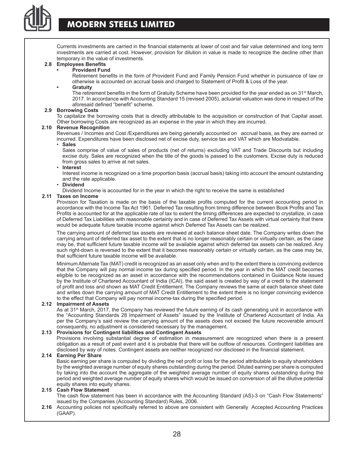

## **MODERN STEELS LIMITED**

Currents investments are carried in the financial statements at lower of cost and fair value determined and long term investments are carried at cost. However, provision for dilution in value is made to recognize the decline other than temporary in the value of investments.

#### **2.8 Employees Benefits**

#### **• Provident Fund**

Retirement benefits in the form of Provident Fund and Family Pension Fund whether in pursuance of law or otherwise is accounted on accrual basis and charged to Statement of Profit & Loss of the year.

#### **• Gratuity**

The retirement benefits in the form of Gratuity Scheme have been provided for the year ended as on 31<sup>st</sup> March, 2017. In accordance with Accounting Standard 15 (revised 2005), actuarial valuation was done in respect of the aforesaid defined "benefit" scheme.

#### **2.9 Borrowing Costs**

To capitalize the borrowing costs that is directly attributable to the acquisition or construction of that Capital asset. Other borrowing Costs are recognized as an expense in the year in which they are incurred.

#### **2.10 Revenue Recognition**

 Revenues / Incomes and Cost /Expenditures are being generally accounted on accrual basis, as they are earned or incurred. Expenditures have been disclosed net of excise duty, service tax and VAT which are Modvatable.

#### • **Sales**

Sales comprise of value of sales of products (net of returns) excluding VAT and Trade Discounts but including excise duty. Sales are recognized when the title of the goods is passed to the customers. Excise duty is reduced from gross sales to arrive at net sales.

#### • **Interest**

 Interest income is recognized on a time proportion basis (accrual basis) taking into account the amount outstanding and the rate applicable.

#### • **Dividend**

Dividend Income is accounted for in the year in which the right to receive the same is established

#### **2.11 Taxes on Income**

Provision for Taxation is made on the basis of the taxable profits computed for the current accounting period in accordance with the Income Tax Act 1961. Deferred Tax resulting from timing difference between Book Profits and Tax Profits is accounted for at the applicable rate of tax to extent the timing differences are expected to crystallize, in case of Deferred Tax Liabilities with reasonable certainty and in case of Deferred Tax Assets with virtual certainty that there would be adequate future taxable income against which Deferred Tax Assets can be realized.

The carrying amount of deferred tax assets are reviewed at each balance sheet date. The Company writes down the carrying amount of deferred tax asset to the extent that is no longer reasonably certain or virtually certain, as the case may be, that sufficient future taxable income will be available against which deferred tax assets can be realized. Any such right-down is reversed to the extent that it becomes reasonably certain or virtually certain, as the case may be, that sufficient future taxable income will be available.

Minimum Alternate Tax (MAT) credit is recognized as an asset only when and to the extent there is convincing evidence that the Company will pay normal income tax during specified period. In the year in which the MAT credit becomes eligible to be recognized as an asset in accordance with the recommendations contained in Guidance Note issued by the Institute of Chartered Accountant of India (ICAI), the said asset is created by way of a credit to the statement of profit and loss and shown as MAT Credit Entitlement. The Company reviews the same at each balance sheet date and writes down the carrying amount of MAT Credit Entitlement to the extent there is no longer convincing evidence to the effect that Company will pay normal income-tax during the specified period.

#### **2.12 Impairment of Assets**

As at 31<sup>st</sup> March, 2017, the Company has reviewed the future earning of its cash generating unit in accordance with the "Accounting Standards 28 Impairment of Assets" issued by the Institute of Chartered Accountant of India. As per the Company's said review the carrying amount of the assets does not exceed the future recoverable amount consequently, no adjustment is considered necessary by the management.

#### **2.13 Provisions for Contingent liabilities and Contingent Assets**

 Provisions involving substantial degree of estimation in measurement are recognized when there is a present obligation as a result of past event and it is probable that there will be outflow of resources. Contingent liabilities are disclosed by way of notes. Contingent assets are neither recognized nor disclosed in the financial statement.

#### **2.14 Earning Per Share**

Basic earning per share is computed by dividing the net profit or loss for the period attributable to equity shareholders by the weighted average number of equity shares outstanding during the period. Diluted earning per share is computed by taking into the account the aggregate of the weighted average number of equity shares outstanding during the period and weighted average number of equity shares which would be issued on conversion of all the dilutive potential equity shares into equity shares.

#### **2.15 Cash Flow Statement**

The cash flow statement has been in accordance with the Accounting Standard (AS)-3 on "Cash Flow Statements" issued by the Companies (Accounting Standard) Rules, 2006.

**2.16** Accounting policies not specifically referred to above are consistent with Generally Accepted Accounting Practices (GAAP).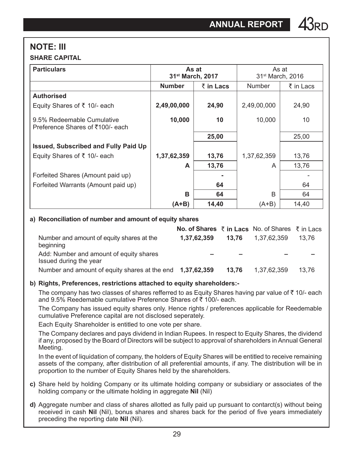### **NOTE: III SHARE CAPITAL**

| <b>Particulars</b>                                             | As at<br>31 <sup>st</sup> March, 2017 |           |               | As at<br>31 <sup>st</sup> March, 2016 |  |
|----------------------------------------------------------------|---------------------------------------|-----------|---------------|---------------------------------------|--|
|                                                                | <b>Number</b>                         | ₹ in Lacs | <b>Number</b> | ₹ in Lacs                             |  |
| <b>Authorised</b>                                              |                                       |           |               |                                       |  |
| Equity Shares of ₹ 10/- each                                   | 2,49,00,000                           | 24,90     | 2,49,00,000   | 24,90                                 |  |
| 9.5% Redeemable Cumulative<br>Preference Shares of ₹100/- each | 10,000                                | 10        | 10,000        | 10                                    |  |
|                                                                |                                       | 25,00     |               | 25,00                                 |  |
| Issued, Subscribed and Fully Paid Up                           |                                       |           |               |                                       |  |
| Equity Shares of ₹ 10/- each                                   | 1,37,62,359                           | 13,76     | 1,37,62,359   | 13,76                                 |  |
|                                                                | A                                     | 13,76     | A             | 13,76                                 |  |
| Forfeited Shares (Amount paid up)                              |                                       |           |               |                                       |  |
| Forfeited Warrants (Amount paid up)                            |                                       | 64        |               | 64                                    |  |
|                                                                | в                                     | 64        | B             | 64                                    |  |
|                                                                | (A+B)                                 | 14,40     | (A+B)         | 14,40                                 |  |

### **a) Reconciliation of number and amount of equity shares**

|                                                                   | <b>No. of Shares <math>\bar{\tau}</math> in Lacs</b> No. of Shares $\bar{\tau}$ in Lacs |       |             |       |
|-------------------------------------------------------------------|-----------------------------------------------------------------------------------------|-------|-------------|-------|
| Number and amount of equity shares at the<br>beginning            | 1,37,62,359                                                                             | 13.76 | 1.37.62.359 | 13.76 |
| Add: Number and amount of equity shares<br>Issued during the year |                                                                                         |       |             |       |
| Number and amount of equity shares at the end 1,37,62,359         |                                                                                         | 13.76 | 1.37.62.359 | 13.76 |

### **b) Rights, Preferences, restrictions attached to equity shareholders:-**

The company has two classes of shares refferred to as Equity Shares having par value of  $\bar{\tau}$  10/- each and 9.5% Reedemable cumulative Preference Shares of  $\bar{\tau}$  100/- each.

The Company has issued equity shares only. Hence rights / preferences applicable for Reedemable cumulative Preference capital are not disclosed seperately.

Each Equity Shareholder is entitled to one vote per share.

The Company declares and pays dividend in Indian Rupees. In respect to Equity Shares, the dividend if any, proposed by the Board of Directors will be subject to approval of shareholders in Annual General Meeting.

In the event of liquidation of company, the holders of Equity Shares will be entitled to receive remaining assets of the company, after distribution of all preferential amounts, if any. The distribution will be in proportion to the number of Equity Shares held by the shareholders.

- **c)** Share held by holding Company or its ultimate holding company or subsidiary or associates of the holding company or the ultimate holding in aggregate **Nil** (Nil)
- **d)** Aggregate number and class of shares allotted as fully paid up pursuant to contarct(s) without being received in cash **Nil** (Nil), bonus shares and shares back for the period of five years immediately preceding the reporting date **Nil** (Nil).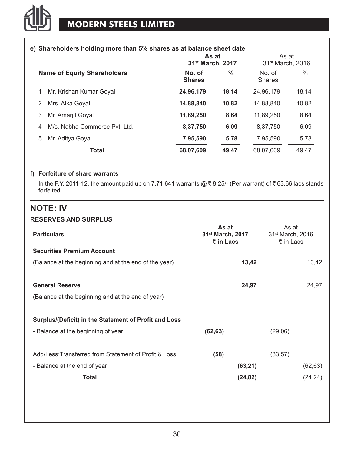### **e) Shareholders holding more than 5% shares as at balance sheet date**

|                                    | As at<br>31 <sup>st</sup> March, 2017 |       | As at<br>31 <sup>st</sup> March, 2016 |       |  |
|------------------------------------|---------------------------------------|-------|---------------------------------------|-------|--|
| <b>Name of Equity Shareholders</b> | No. of<br><b>Shares</b>               | %     | No. of<br><b>Shares</b>               | $\%$  |  |
| Mr. Krishan Kumar Goyal<br>1       | 24,96,179                             | 18.14 | 24.96.179                             | 18.14 |  |
| Mrs. Alka Goval<br>2               | 14,88,840                             | 10.82 | 14,88,840                             | 10.82 |  |
| Mr. Amariit Goval<br>3             | 11,89,250                             | 8.64  | 11.89.250                             | 8.64  |  |
| M/s. Nabha Commerce Pvt. Ltd.<br>4 | 8,37,750                              | 6.09  | 8,37,750                              | 6.09  |  |
| Mr. Aditya Goyal<br>5              | 7,95,590                              | 5.78  | 7,95,590                              | 5.78  |  |
| <b>Total</b>                       | 68,07,609                             | 49.47 | 68.07.609                             | 49.47 |  |

#### **f) Forfeiture of share warrants**

In the F.Y. 2011-12, the amount paid up on 7,71,641 warrants @  $\bar{z}$  8.25/- (Per warrant) of  $\bar{z}$  63.66 lacs stands forfeited.

### **NOTE: IV RESERVES AND SURPLUS**

| <b>Particulars</b>                                    | As at<br>31 <sup>st</sup> March, 2017<br>$\bar{\tau}$ in Lacs | As at<br>31 <sup>st</sup> March, 2016<br>₹ in Lacs |
|-------------------------------------------------------|---------------------------------------------------------------|----------------------------------------------------|
| <b>Securities Premium Account</b>                     |                                                               |                                                    |
| (Balance at the beginning and at the end of the year) | 13,42                                                         | 13,42                                              |
|                                                       |                                                               |                                                    |
| <b>General Reserve</b>                                | 24,97                                                         | 24,97                                              |
| (Balance at the beginning and at the end of year)     |                                                               |                                                    |
|                                                       |                                                               |                                                    |
| Surplus/(Deficit) in the Statement of Profit and Loss |                                                               |                                                    |
| - Balance at the beginning of year                    | (62, 63)                                                      | (29,06)                                            |
|                                                       |                                                               |                                                    |
| Add/Less: Transferred from Statement of Profit & Loss | (58)                                                          | (33, 57)                                           |
| - Balance at the end of year                          | (63,21)                                                       | (62, 63)                                           |
| <b>Total</b>                                          | (24, 82)                                                      | (24, 24)                                           |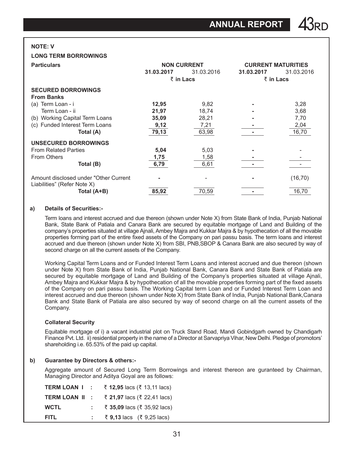#### **NOTE: V**

#### **LONG TERM BORROWINGS**

| <b>Particulars</b>                                                    |            | <b>NON CURRENT</b> | <b>CURRENT MATURITIES</b> |            |
|-----------------------------------------------------------------------|------------|--------------------|---------------------------|------------|
|                                                                       | 31.03.2017 | 31.03.2016         | 31.03.2017                | 31.03.2016 |
|                                                                       |            | ₹ in Lacs          | $\bar{\tau}$ in Lacs      |            |
| <b>SECURED BORROWINGS</b>                                             |            |                    |                           |            |
| <b>From Banks</b>                                                     |            |                    |                           |            |
| (a) Term Loan - i                                                     | 12,95      | 9,82               |                           | 3,28       |
| Term Loan - ii                                                        | 21,97      | 18,74              |                           | 3,68       |
| (b) Working Capital Term Loans                                        | 35,09      | 28,21              |                           | 7,70       |
| (c) Funded Interest Term Loans                                        | 9,12       | 7,21               |                           | 2,04       |
| Total (A)                                                             | 79,13      | 63,98              |                           | 16,70      |
| UNSECURED BORROWINGS                                                  |            |                    |                           |            |
| <b>From Related Parties</b>                                           | 5,04       | 5,03               |                           |            |
| From Others                                                           | 1,75       | 1,58               |                           |            |
| Total (B)                                                             | 6,79       | 6,61               |                           |            |
| Amount disclosed under "Other Current"<br>Liabilities" (Refer Note X) |            |                    |                           | (16, 70)   |
| Total (A+B)                                                           | 85,92      | 70,59              |                           | 16,70      |

#### **a) Details of Securities:-**

Term loans and interest accrued and due thereon (shown under Note X) from State Bank of India, Punjab National Bank, State Bank of Patiala and Canara Bank are secured by equitable mortgage of Land and Building of the company's properties situated at village Ajnali, Ambey Majra and Kukkar Majra & by hypothecation of all the movable properties forming part of the entire fixed assets of the Company on pari passu basis. The term loans and interest accrued and due thereon (shown under Note X) from SBI, PNB,SBOP & Canara Bank are also secured by way of second charge on all the current assets of the Company.

Working Capital Term Loans and or Funded Interest Term Loans and interest accrued and due thereon (shown under Note X) from State Bank of India, Punjab National Bank, Canara Bank and State Bank of Patiala are secured by equitable mortgage of Land and Building of the Company's properties situated at village Ajnali, Ambey Majra and Kukkar Majra & by hypothecation of all the movable properties forming part of the fixed assets of the Company on pari passu basis. The Working Capital term Loan and or Funded Interest Term Loan and interest accrued and due thereon (shown under Note X) from State Bank of India, Punjab National Bank,Canara Bank and State Bank of Patiala are also secured by way of second charge on all the current assets of the Company.

#### **Collateral Security**

Equitable mortgage of i) a vacant industrial plot on Truck Stand Road, Mandi Gobindgarh owned by Chandigarh Finance Pvt. Ltd. ii) residential property in the name of a Director at Sarvapriya Vihar, New Delhi. Pledge of promotors' shareholding i.e. 65.53% of the paid up capital.

#### **b) Guarantee by Directors & others:-**

Aggregate amount of Secured Long Term Borrowings and interest thereon are guranteed by Chairman, Managing Director and Aditya Goyal are as follows:

| TERM LOAN I:   | ₹ 12,95 lacs (₹ 13,11 lacs) |
|----------------|-----------------------------|
| TERM LOAN II : | ₹ 21,97 lacs (₹ 22,41 lacs) |
| <b>WCTL</b>    | ₹ 35,09 lacs (₹ 35,92 lacs) |
| <b>FITL</b>    | ₹ 9,13 lacs (₹ 9,25 lacs)   |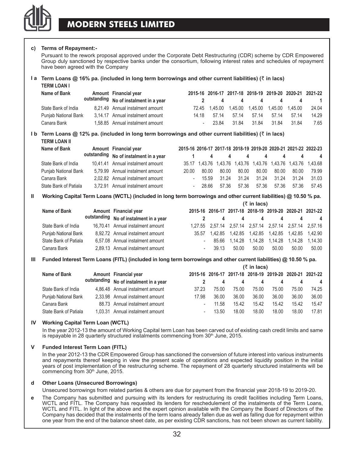

#### **c) Terms of Repayment:-**

Pursuant to the rework proposal approved under the Corporate Debt Restructuring (CDR) scheme by CDR Empowered Group duly sanctioned by respective banks under the consortium, following interest rates and schedules of repayment have been agreed with the Company

#### **Ia Term Loans @ 16% pa. (included in long term borrowings and other current liabilities) (₹ in lacs) TERM LOAN I**

| IENI LUAN I          |                                        |       |               |       |       |                                    |       |                                                         |
|----------------------|----------------------------------------|-------|---------------|-------|-------|------------------------------------|-------|---------------------------------------------------------|
| Name of Bank         | Amount Financial year                  |       |               |       |       |                                    |       | 2015-16 2016-17 2017-18 2018-19 2019-20 2020-21 2021-22 |
|                      | outstanding No of instalment in a year |       |               | 4     | 4     |                                    |       | $\overline{1}$                                          |
| State Bank of India  | 8.21.49 Annual instalment amount       |       | 72.45 1.45.00 |       |       | 1.45.00  1.45.00  1.45.00  1.45.00 |       | 24.04                                                   |
| Punjab National Bank | 3.14.17 Annual instalment amount       | 14 18 | 57 14         | 57 14 | 57.14 | 57 14                              | 57 14 | 14 29                                                   |
| Canara Bank          | 1.58.85 Annual instalment amount       |       | 23.84         | 3184  | 3184  | 3184                               | 3184  | 7.65                                                    |

#### **I** b **Term Loans @ 12% pa. (included in long term borrowings and other current liabilities) (** $\bar{x}$  **in lacs) TERM LOAN II**

| .                     |                                        |       |          |       |       |       |       |       |                                                                 |
|-----------------------|----------------------------------------|-------|----------|-------|-------|-------|-------|-------|-----------------------------------------------------------------|
| Name of Bank          | Amount Financial year                  |       |          |       |       |       |       |       | 2015-16 2016-17 2017-18 2018-19 2019-20 2020-21 2021-22 2022-23 |
|                       | outstanding No of instalment in a year |       | 4        | 4     |       | 4     | 4     |       | 4                                                               |
| State Bank of India   | 10,41.41 Annual instalment amount      |       |          |       |       |       |       |       | 35.17 1.43.76 1.43.76 1.43.76 1.43.76 1.43.76 1.43.76 1.43.68   |
| Punjab National Bank  | 5,79.99 Annual instalment amount       | 20.00 | 80.00    | 80.00 | 80.00 | 80.00 | 80.00 | 80.00 | 79.99                                                           |
| Canara Bank           | 2.02.82 Annual instalment amount       |       | $-15.59$ | 31 24 | 31.24 | 31 24 | 31 24 | 31 24 | 31.03                                                           |
| State Bank of Patiala | 3.72.91 Annual instalment amount       |       | - 28.66  | 57 36 | 57.36 | 57.36 | 57.36 | 57.36 | 57.45                                                           |

#### **II Working Capital Term Loans (WCTL) (included in long term borrowings and other current liabilities) @ 10.50 % pa.**

|                       | $(5$ in lacs)                          |                |       |       |                                                             |          |       |                |
|-----------------------|----------------------------------------|----------------|-------|-------|-------------------------------------------------------------|----------|-------|----------------|
| Name of Bank          | Amount Financial year                  |                |       |       | 2015-16 2016-17 2017-18 2018-19 2019-20 2020-21 2021-22     |          |       |                |
|                       | outstanding No of instalment in a year |                | 4     | 4     |                                                             | 4<br>- 4 | 4     | $\overline{4}$ |
| State Bank of India   | 16.70.41 Annual instalment amount      |                |       |       | 1,27.55 2,57.14 2,57.14 2,57.14 2,57.14 2,57.14 2,57.16     |          |       |                |
| Punjab National Bank  | 8,92.72 Annual instalment amount       |                |       |       | 35.57  1.42.85  1.42.85  1.42.85  1.42.85  1.42.85  1.42.90 |          |       |                |
| State Bank of Patiala | 6.57.08 Annual instalment amount       | $\blacksquare$ |       |       | 85.66  1.14.28  1.14.28  1.14.28  1.14.28  1.14.30          |          |       |                |
| Canara Bank           | 2.89.13 Annual instalment amount       | ä,             | 39.13 | 50.00 | 50.00                                                       | 50.00    | 50.00 | 50.00          |

#### **III Funded Interest Term Loans (FITL) (included in long term borrowings and other current liabilities) @ 10.50 % pa.**

|                       | $(\xi$ in lacs) |                                        |       |       |       |                                                         |       |       |       |
|-----------------------|-----------------|----------------------------------------|-------|-------|-------|---------------------------------------------------------|-------|-------|-------|
| Name of Bank          |                 | Amount Financial year                  |       |       |       | 2015-16 2016-17 2017-18 2018-19 2019-20 2020-21 2021-22 |       |       |       |
|                       |                 | outstanding No of instalment in a year |       | 4     |       |                                                         |       |       | 4     |
| State Bank of India   |                 | 4,86.48 Annual instalment amount       | 37.23 | 75.00 | 75.00 | 75.00                                                   | 75.00 | 75.00 | 74.25 |
| Punjab National Bank  |                 | 2.33.98 Annual instalment amount       | 17 98 | 36.00 | 36.00 | 36.00                                                   | 36.00 | 36.00 | 36.00 |
| Canara Bank           |                 | 88.73 Annual instalment amount         | ٠     | 11.58 | 15.42 | 15.42                                                   | 15.42 | 15.42 | 15.47 |
| State Bank of Patiala |                 | 1.03.31 Annual instalment amount       | ٠     | 13.50 | 18.00 | 18.00                                                   | 18.00 | 18.00 | 1781  |

#### **iv Working Capital Term Loan (WCTL)**

In the year 2012-13 the amount of Working Capital term Loan has been carved out of existing cash credit limits and same is repayable in 28 quarterly structured instalments commencing from  $30<sup>th</sup>$  June, 2015.

#### **v Funded Interest Term Loan (FITL)**

In the year 2012-13 the CDR Empowered Group has sanctioned the conversion of future interest into various instruments and repayments thereof keeping in view the present scale of operations and expected liquidity position in the initial years of post implementation of the restructuring scheme. The repayment of 28 quarterly structured instalments will be commencing from 30<sup>th</sup> June, 2015.

#### **d Other Loans (Unsecured Borrowings)**

Unsecured borrowings from related parties & others are due for payment from the financial year 2018-19 to 2019-20.

**e** The Company has submitted and pursuing with its lenders for restructuring its credit facilities including Term Loans, WCTL and FITL. The Company has requested its lenders for reschedulement of the instalments of the Term Loans, WCTL and FITL. In light of the above and the expert opinion available with the Company the Board of Directors of the Company has decided that the instalments of the term loans already fallen due as well as falling due for repayment within one year from the end of the balance sheet date, as per existing CDR sanctions, has not been shown as current liability.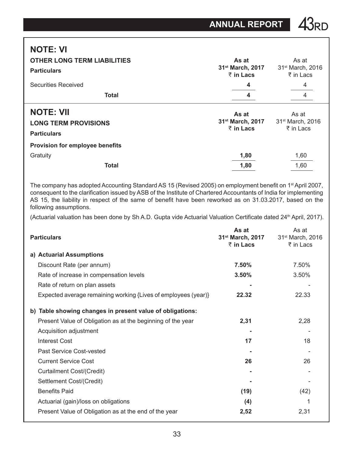## **NOTE: VI**

| <b>OTHER LONG TERM LIABILITIES</b><br><b>Particulars</b>              | As at<br>31 <sup>st</sup> March, 2017<br>$\bar{z}$ in Lacs | As at<br>31 <sup>st</sup> March, 2016<br>₹ in Lacs |  |  |
|-----------------------------------------------------------------------|------------------------------------------------------------|----------------------------------------------------|--|--|
| <b>Securities Received</b>                                            | 4                                                          | 4                                                  |  |  |
| <b>Total</b>                                                          | 4                                                          | 4                                                  |  |  |
| <b>NOTE: VII</b><br><b>LONG TERM PROVISIONS</b><br><b>Particulars</b> | As at<br>31 <sup>st</sup> March, 2017<br>$\bar{z}$ in Lacs | As at<br>31 <sup>st</sup> March, 2016<br>₹ in Lacs |  |  |
| Provision for employee benefits                                       |                                                            |                                                    |  |  |
| Gratuity                                                              | 1,80                                                       | 1,60                                               |  |  |
| <b>Total</b>                                                          | 1,80                                                       | 1,60                                               |  |  |

The company has adopted Accounting Standard AS 15 (Revised 2005) on employment benefit on 1<sup>st</sup> April 2007, consequent to the clarification issued by ASB of the Institute of Chartered Accountants of India for implementing AS 15, the liability in respect of the same of benefit have been reworked as on 31.03.2017, based on the following assumptions.

(Actuarial valuation has been done by Sh A.D. Gupta vide Actuarial Valuation Certificate dated 24<sup>th</sup> April, 2017).

| <b>Particulars</b>                                             | As at<br>31 <sup>st</sup> March, 2017 31 <sup>st</sup> March, 2016<br>₹ in Lacs | As at<br>₹ in Lacs |
|----------------------------------------------------------------|---------------------------------------------------------------------------------|--------------------|
| a) Actuarial Assumptions                                       |                                                                                 |                    |
| Discount Rate (per annum)                                      | 7.50%                                                                           | 7.50%              |
| Rate of increase in compensation levels                        | 3.50%                                                                           | 3.50%              |
| Rate of return on plan assets                                  |                                                                                 |                    |
| Expected average remaining working {Lives of employees (year)} | 22.32                                                                           | 22.33              |
| b) Table showing changes in present value of obligations:      |                                                                                 |                    |
| Present Value of Obligation as at the beginning of the year    | 2,31                                                                            | 2,28               |
| Acquisition adjustment                                         |                                                                                 |                    |
| Interest Cost                                                  | 17                                                                              | 18                 |
| Past Service Cost-vested                                       |                                                                                 |                    |
| <b>Current Service Cost</b>                                    | 26                                                                              | 26                 |
| Curtailment Cost/(Credit)                                      |                                                                                 |                    |
| Settlement Cost/(Credit)                                       |                                                                                 |                    |
| <b>Benefits Paid</b>                                           | (19)                                                                            | (42)               |
| Actuarial (gain)/loss on obligations                           | (4)                                                                             |                    |
| Present Value of Obligation as at the end of the year          | 2,52                                                                            | 2,31               |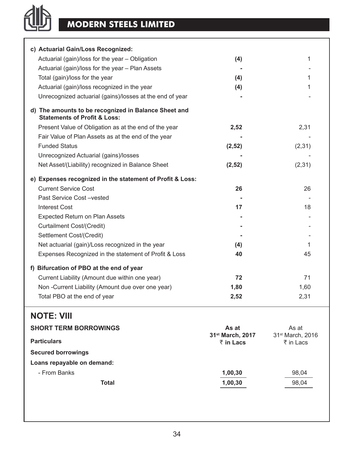## **MODERN STEELS LIMITED**

他

| c) Actuarial Gain/Loss Recognized:                                                              |        |         |
|-------------------------------------------------------------------------------------------------|--------|---------|
| Actuarial (gain)/loss for the year - Obligation                                                 | (4)    | 1       |
| Actuarial (gain)/loss for the year - Plan Assets                                                |        |         |
| Total (gain)/loss for the year                                                                  | (4)    | 1       |
| Actuarial (gain)/loss recognized in the year                                                    | (4)    | 1       |
| Unrecognized actuarial (gains)/losses at the end of year                                        |        |         |
| d) The amounts to be recognized in Balance Sheet and<br><b>Statements of Profit &amp; Loss:</b> |        |         |
| Present Value of Obligation as at the end of the year                                           | 2,52   | 2,31    |
| Fair Value of Plan Assets as at the end of the year                                             |        |         |
| <b>Funded Status</b>                                                                            | (2,52) | (2,31)  |
| Unrecognized Actuarial (gains)/losses                                                           |        |         |
| Net Asset/(Liability) recognized in Balance Sheet                                               | (2,52) | (2, 31) |
| e) Expenses recognized in the statement of Profit & Loss:                                       |        |         |
| <b>Current Service Cost</b>                                                                     | 26     | 26      |
| Past Service Cost-vested                                                                        |        |         |
| <b>Interest Cost</b>                                                                            | 17     | 18      |
| Expected Return on Plan Assets                                                                  |        |         |
| Curtailment Cost/(Credit)                                                                       |        |         |
| Settlement Cost/(Credit)                                                                        |        |         |
| Net actuarial (gain)/Loss recognized in the year                                                | (4)    | 1       |
| Expenses Recognized in the statement of Profit & Loss                                           | 40     | 45      |
| f) Bifurcation of PBO at the end of year                                                        |        |         |
| Current Liability (Amount due within one year)                                                  | 72     | 71      |
| Non-Current Liability (Amount due over one year)                                                | 1,80   | 1,60    |
| Total PBO at the end of year                                                                    | 2,52   | 2,31    |
| <b>NOTE: VIII</b>                                                                               |        |         |
| <b>TEDM BODDOMINIOS</b>                                                                         |        |         |

| <b>SHORT TERM BORROWINGS</b> | As at                                     | As at                                     |
|------------------------------|-------------------------------------------|-------------------------------------------|
| <b>Particulars</b>           | 31 <sup>st</sup> March, 2017<br>₹ in Lacs | 31 <sup>st</sup> March, 2016<br>₹ in Lacs |
| <b>Secured borrowings</b>    |                                           |                                           |
| Loans repayable on demand:   |                                           |                                           |
| - From Banks                 | 1,00,30                                   | 98,04                                     |
| Total                        | 1,00,30                                   | 98.04                                     |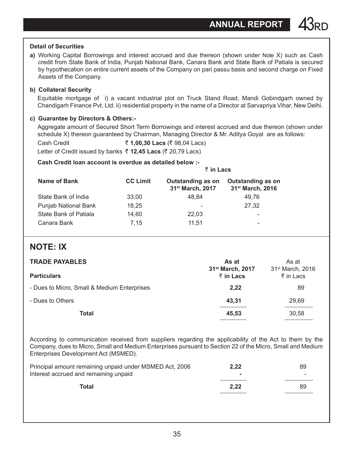#### **Detail of Securities**

**a)** Working Capital Borrowings and interest accrued and due thereon (shown under Note X) such as Cash credit from State Bank of India, Punjab National Bank, Canara Bank and State Bank of Patiala is secured by hypothecation on entire current assets of the Company on pari passu basis and second charge on Fixed Assets of the Company.

### **b) Collateral Security**

Equitable mortgage of i) a vacant industrial plot on Truck Stand Road, Mandi Gobindgarh owned by Chandigarh Finance Pvt. Ltd. ii) residential property in the name of a Director at Sarvapriya Vihar, New Delhi.

#### **c) Guarantee by Directors & Others:-**

Aggregate amount of Secured Short Term Borrowings and interest accrued and due thereon (shown under schedule X) thereon quaranteed by Chairman, Managing Director & Mr. Aditya Goyal are as follows:

Cash Credit ` **1,00,30 Lacs** (` 98,04 Lacs) Letter of Credit issued by banks ₹ 12.45 Lacs (₹ 20.79 Lacs)

### **Cash Credit loan account is overdue as detailed below :-**

|                       |                 | ₹ in Lacs                                         |                                                   |
|-----------------------|-----------------|---------------------------------------------------|---------------------------------------------------|
| Name of Bank          | <b>CC Limit</b> | Outstanding as on<br>31 <sup>st</sup> March, 2017 | Outstanding as on<br>31 <sup>st</sup> March, 2016 |
| State Bank of India   | 33.00           | 48.84                                             | 49.76                                             |
| Punjab National Bank  | 18,25           |                                                   | 27,32                                             |
| State Bank of Patiala | 14,60           | 22,03                                             | -                                                 |
| Canara Bank           | 7.15            | 11.51                                             | -                                                 |

### **NOTE: IX**

| <b>TRADE PAYABLES</b>                                                                                        |  |
|--------------------------------------------------------------------------------------------------------------|--|
| 31 <sup>st</sup> March, 2017<br>31 <sup>st</sup> March, 2016<br><b>Particulars</b><br>₹ in Lacs<br>₹ in Lacs |  |
| - Dues to Micro, Small & Medium Enterprises<br>2,22<br>89                                                    |  |
| 43,31<br>- Dues to Others<br>29.69                                                                           |  |
| Total<br>45.53<br>30.58                                                                                      |  |

According to communication received from suppliers regarding the applicability of the Act to them by the Company, dues to Micro, Small and Medium Enterprises pursuant to Section 22 of the Micro, Small and Medium Enterprises Development Act (MSMED).

| Principal amount remaining unpaid under MSMED Act, 2006 | 2.22 | 89                       |
|---------------------------------------------------------|------|--------------------------|
| Interest accrued and remaining unpaid                   |      | $\overline{\phantom{a}}$ |
| Total                                                   | 2.22 | 89                       |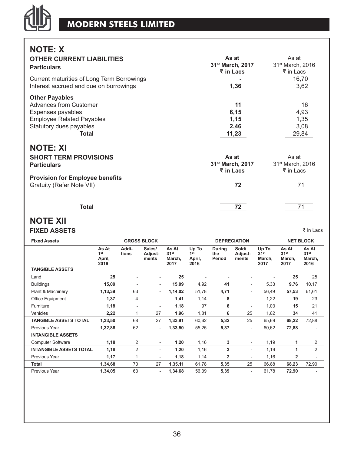

**NOTE: X**

| <b>OTHER CURRENT LIABILITIES</b><br><b>Particulars</b> | As at<br>31 <sup>st</sup> March, 2017<br>₹ in Lacs | As at<br>31 <sup>st</sup> March, 2016<br>₹ in Lacs |
|--------------------------------------------------------|----------------------------------------------------|----------------------------------------------------|
| Current maturities of Long Term Borrowings             |                                                    | 16,70                                              |
| Interest accrued and due on borrowings                 | 1,36                                               | 3,62                                               |
| <b>Other Payables</b>                                  |                                                    |                                                    |
| <b>Advances from Customer</b>                          | 11                                                 | 16                                                 |
| Expenses payables                                      | 6,15                                               | 4,93                                               |
| <b>Employee Related Payables</b>                       | 1,15                                               | 1,35                                               |
| Statutory dues payables                                | 2,46                                               | 3,08                                               |
| Total                                                  | 11,23                                              | 29,84                                              |
| <b>NOTE: XI</b>                                        |                                                    |                                                    |
| <b>SHORT TERM PROVISIONS</b>                           | As at                                              | As at                                              |
| Particulars                                            | 31 <sup>st</sup> March, 2017                       | 31 <sup>st</sup> March, 2016                       |
|                                                        | ₹ in Lacs                                          | ₹ in Lacs                                          |
| <b>Provision for Employee benefits</b>                 |                                                    |                                                    |
| Gratuity (Refer Note VII)                              | 72                                                 | 71                                                 |
|                                                        |                                                    |                                                    |

 **Total 72** 71

### **Note XII FIXED ASSETS**  $\frac{1}{3}$  in Lacs

|                                            |                          |                            |                                             |                                            |                         |                           |                                             |                                             | <b>NET BLOCK</b>                            |
|--------------------------------------------|--------------------------|----------------------------|---------------------------------------------|--------------------------------------------|-------------------------|---------------------------|---------------------------------------------|---------------------------------------------|---------------------------------------------|
| As At<br>1 <sup>st</sup><br>April,<br>2016 | Addi-<br>tions           | Sales/<br>Adjust-<br>ments | As At<br>31 <sup>st</sup><br>March,<br>2017 | Up To<br>1 <sup>st</sup><br>April,<br>2016 | During<br>the<br>Period | Sold/<br>Adjust-<br>ments | Up To<br>31 <sup>st</sup><br>March.<br>2017 | As At<br>31 <sup>st</sup><br>March,<br>2017 | As At<br>31 <sup>st</sup><br>March,<br>2016 |
|                                            |                          |                            |                                             |                                            |                         |                           |                                             |                                             |                                             |
| 25                                         |                          | ٠                          | 25                                          |                                            |                         |                           |                                             | 25                                          | 25                                          |
| 15,09                                      |                          | $\overline{\phantom{a}}$   | 15,09                                       | 4,92                                       | 41                      | $\overline{\phantom{a}}$  | 5,33                                        | 9,76                                        | 10,17                                       |
| 1,13,39                                    | 63                       | $\overline{\phantom{a}}$   | 1,14,02                                     | 51,78                                      | 4,71                    | $\overline{\phantom{a}}$  | 56,49                                       | 57,53                                       | 61,61                                       |
| 1,37                                       | $\overline{4}$           | $\overline{\phantom{a}}$   | 1,41                                        | 1,14                                       | 8                       | $\overline{\phantom{a}}$  | 1,22                                        | 19                                          | 23                                          |
| 1,18                                       | $\overline{\phantom{a}}$ | $\overline{\phantom{a}}$   | 1,18                                        | 97                                         | 6                       | ٠                         | 1,03                                        | 15                                          | 21                                          |
| 2,22                                       | 1                        | 27                         | 1,96                                        | 1,81                                       | 6                       | 25                        | 1,62                                        | 34                                          | 41                                          |
| 1,33,50                                    | 68                       | 27                         | 1,33,91                                     | 60,62                                      | 5,32                    | 25                        | 65,69                                       | 68,22                                       | 72,88                                       |
| 1,32,88                                    | 62                       | $\overline{\phantom{a}}$   | 1,33,50                                     | 55,25                                      | 5,37                    | $\overline{\phantom{a}}$  | 60,62                                       | 72,88                                       |                                             |
|                                            |                          |                            |                                             |                                            |                         |                           |                                             |                                             |                                             |
| 1,18                                       | 2                        | $\overline{\phantom{a}}$   | 1,20                                        | 1,16                                       | 3                       | $\overline{\phantom{a}}$  | 1,19                                        | 1                                           | 2                                           |
| 1,18                                       | $\overline{2}$           | $\overline{\phantom{a}}$   | 1,20                                        | 1,16                                       | 3                       | $\overline{\phantom{a}}$  | 1,19                                        | 1                                           | $\overline{2}$                              |
| 1,17                                       | 1                        | $\overline{\phantom{a}}$   | 1,18                                        | 1,14                                       | $\overline{\mathbf{2}}$ | $\overline{\phantom{a}}$  | 1,16                                        | $\overline{2}$                              | ٠                                           |
| 1,34,68                                    | 70                       | 27                         | 1,35,11                                     | 61,78                                      | 5,35                    | 25                        | 66.88                                       | 68,23                                       | 72,90                                       |
| 1,34,05                                    | 63                       | $\overline{\phantom{a}}$   | 1,34,68                                     | 56.39                                      | 5,39                    | $\overline{\phantom{a}}$  | 61,78                                       | 72,90                                       |                                             |
|                                            |                          |                            | <b>GROSS BLOCK</b>                          |                                            |                         |                           | <b>DEPRECIATION</b>                         |                                             |                                             |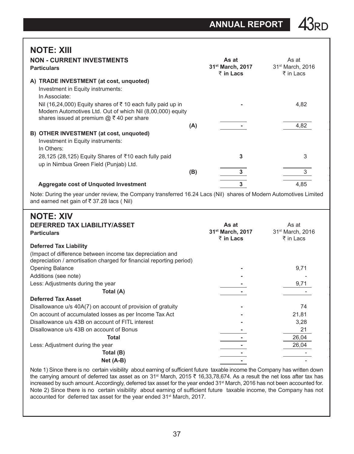**NOTE: XIII**

| <b>NON - CURRENT INVESTMENTS</b><br><b>Particulars</b>                                                                                                                        |     | As at<br>31 <sup>st</sup> March, 2017<br>₹ in Lacs | As at<br>31 <sup>st</sup> March, 2016<br>₹ in Lacs |
|-------------------------------------------------------------------------------------------------------------------------------------------------------------------------------|-----|----------------------------------------------------|----------------------------------------------------|
| <b>TRADE INVESTMENT</b> (at cost, unquoted)<br>A)<br>Investment in Equity instruments:<br>In Associate:                                                                       |     |                                                    |                                                    |
| Nil (16,24,000) Equity shares of ₹10 each fully paid up in<br>Modern Automotives Ltd. Out of which Nil (8,00,000) equity<br>shares issued at premium $@ \bar{f} 40$ per share |     |                                                    | 4,82                                               |
|                                                                                                                                                                               | (A) |                                                    | 4,82                                               |
| B) OTHER INVESTMENT (at cost, unquoted)<br>Investment in Equity instruments:<br>In Others:                                                                                    |     |                                                    |                                                    |
| 28,125 (28,125) Equity Shares of ₹10 each fully paid<br>up in Nimbua Green Field (Punjab) Ltd.                                                                                |     | 3                                                  | 3                                                  |
|                                                                                                                                                                               | (B) | 3                                                  | 3                                                  |
| Aggregate cost of Unquoted Investment                                                                                                                                         |     | 3                                                  | 4,85                                               |
| Note: During the year under review, the Company transferred 16.24 Lacs (Nil) shares of Modern Automotives Limited<br>and earned net gain of ₹37.28 lacs (Nil)                 |     |                                                    |                                                    |
| <b>NOTE: XIV</b>                                                                                                                                                              |     |                                                    |                                                    |

| 11 V I L. AI V                                                      |                              |                              |
|---------------------------------------------------------------------|------------------------------|------------------------------|
| <b>DEFERRED TAX LIABILITY/ASSET</b>                                 | As at                        | As at                        |
| <b>Particulars</b>                                                  | 31 <sup>st</sup> March, 2017 | 31 <sup>st</sup> March, 2016 |
|                                                                     | ₹ in Lacs                    | ₹ in Lacs                    |
| <b>Deferred Tax Liability</b>                                       |                              |                              |
| (Impact of difference between income tax depreciation and           |                              |                              |
| depreciation / amortisation charged for financial reporting period) |                              |                              |
| <b>Opening Balance</b>                                              |                              | 9,71                         |
| Additions (see note)                                                |                              |                              |
| Less: Adjustments during the year                                   |                              | 9,71                         |
| Total (A)                                                           |                              |                              |
| <b>Deferred Tax Asset</b>                                           |                              |                              |
| Disallowance u/s 40A(7) on account of provision of gratuity         |                              | 74                           |
| On account of accumulated losses as per Income Tax Act              |                              | 21,81                        |
| Disallowance u/s 43B on account of FITL interest                    |                              | 3,28                         |
| Disallowance u/s 43B on account of Bonus                            |                              | 21                           |
| Total                                                               |                              | 26,04                        |
| Less: Adjustment during the year                                    |                              | 26,04                        |
| Total (B)                                                           |                              |                              |
| $Net (A-B)$                                                         |                              |                              |

Note 1) Since there is no certain visibility about earning of sufficient future taxable income the Company has written down the carrying amount of deferred tax asset as on 31<sup>st</sup> March, 2015  $\bar{\tau}$  16,33,78,674. As a result the net loss after tax has increased by such amount. Accordingly, deferred tax asset for the year ended 31<sup>st</sup> March, 2016 has not been accounted for. Note 2) Since there is no certain visibility about earning of sufficient future taxable income, the Company has not accounted for deferred tax asset for the year ended 31<sup>st</sup> March, 2017.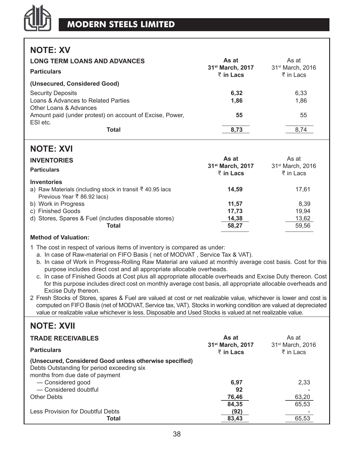### **NOTE: XV**

| <b>LONG TERM LOANS AND ADVANCES</b><br><b>Particulars</b> | As at<br>31 <sup>st</sup> March, 2017<br>$\bar{z}$ in Lacs | As at<br>31 <sup>st</sup> March, 2016<br>₹ in Lacs |
|-----------------------------------------------------------|------------------------------------------------------------|----------------------------------------------------|
| (Unsecured, Considered Good)                              |                                                            |                                                    |
| <b>Security Deposits</b>                                  | 6,32                                                       | 6.33                                               |
| Loans & Advances to Related Parties                       | 1,86                                                       | 1.86                                               |
| Other Loans & Advances                                    |                                                            |                                                    |
| Amount paid (under protest) on account of Excise, Power,  | 55                                                         | 55                                                 |
| ESI etc.                                                  |                                                            |                                                    |
| Total                                                     | 8.73                                                       | 8.74                                               |

### **NOTE: XVI**

| <b>INVENTORIES</b><br><b>Particulars</b>                  | As at<br>31 <sup>st</sup> March, 2017<br>$\bar{z}$ in Lacs | As at<br>31 <sup>st</sup> March, 2016<br>₹ in Lacs |
|-----------------------------------------------------------|------------------------------------------------------------|----------------------------------------------------|
| Inventories                                               |                                                            |                                                    |
| a) Raw Materials (including stock in transit ₹ 40.95 lacs | 14.59                                                      | 17.61                                              |
| Previous Year ₹ 86.92 lacs)                               |                                                            |                                                    |
| b) Work in Progress                                       | 11.57                                                      | 8.39                                               |
| c) Finished Goods                                         | 17.73                                                      | 19.94                                              |
| d) Stores, Spares & Fuel (includes disposable stores)     | 14,38                                                      | 13,62                                              |
| Total                                                     | 58.27                                                      | 59.56                                              |
|                                                           |                                                            |                                                    |

### **Method of Valuation:**

- 1 The cost in respect of various items of inventory is compared as under:
	- a. In case of Raw-material on FIFO Basis ( net of MODVAT , Service Tax & VAT).
	- b. In case of Work in Progress-Rolling Raw Material are valued at monthly average cost basis. Cost for this purpose includes direct cost and all appropriate allocable overheads.
	- c. In case of Finished Goods at Cost plus all appropriate allocable overheads and Excise Duty thereon. Cost for this purpose includes direct cost on monthly average cost basis, all appropriate allocable overheads and Excise Duty thereon.
- 2 Fresh Stocks of Stores, spares & Fuel are valued at cost or net realizable value, whichever is lower and cost is computed on FIFO Basis (net of MODVAT, Service tax, VAT). Stocks in working condition are valued at depreciated value or realizable value whichever is less. Disposable and Used Stocks is valued at net realizable value.

### **NOTE: XVII**

| <b>TRADE RECEIVABLES</b>                                                                                                                                                               | As at<br>31 <sup>st</sup> March, 2017 | As at<br>31 <sup>st</sup> March, 2016 |
|----------------------------------------------------------------------------------------------------------------------------------------------------------------------------------------|---------------------------------------|---------------------------------------|
| <b>Particulars</b>                                                                                                                                                                     | $\overline{z}$ in Lacs                | ₹ in Lacs                             |
| (Unsecured, Considered Good unless otherwise specified)<br>Debts Outstanding for period exceeding six<br>months from due date of payment<br>- Considered good<br>- Considered doubtful | 6,97<br>92                            | 2.33                                  |
| <b>Other Debts</b>                                                                                                                                                                     | 76,46<br>84.35                        | 63,20<br>65.53                        |
| Less Provision for Doubtful Debts<br>Total                                                                                                                                             | (92)<br>83,43                         | 65.53                                 |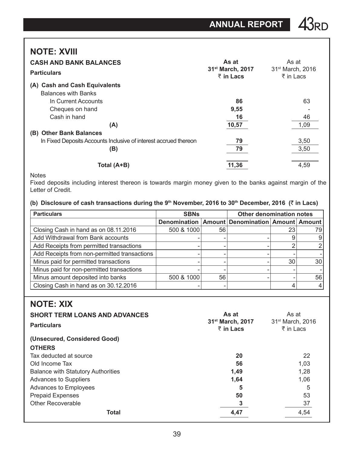## **NOTE: XVIII**

| <b>CASH AND BANK BALANCES</b><br><b>Particulars</b>              | As at<br>31 <sup>st</sup> March, 2017<br>$\bar{z}$ in Lacs | As at<br>31 <sup>st</sup> March, 2016<br>₹ in Lacs |
|------------------------------------------------------------------|------------------------------------------------------------|----------------------------------------------------|
| <b>Cash and Cash Equivalents</b><br>(A)                          |                                                            |                                                    |
| <b>Balances with Banks</b>                                       |                                                            |                                                    |
| In Current Accounts                                              | 86                                                         | 63                                                 |
| Cheques on hand                                                  | 9,55                                                       |                                                    |
| Cash in hand                                                     | 16                                                         | 46                                                 |
| (A)                                                              | 10,57                                                      | 1,09                                               |
| <b>Other Bank Balances</b><br>(B)                                |                                                            |                                                    |
| In Fixed Deposits Accounts Inclusive of interest accrued thereon | 79                                                         | 3,50                                               |
| (B)                                                              | 79                                                         | 3,50                                               |
| Total (A+B)                                                      | 11,36                                                      | 4,59                                               |

**Notes** 

Fixed deposits including interest thereon is towards margin money given to the banks against margin of the Letter of Credit.

### **(b) Disclosure of cash transactions during the 9th November, 2016 to 30th December, 2016 (**` **in Lacs)**

| <b>Particulars</b>                           | Other denomination notes<br><b>SBNs</b>                |    |  |    |    |  |
|----------------------------------------------|--------------------------------------------------------|----|--|----|----|--|
|                                              | Denomination   Amount   Denomination   Amount   Amount |    |  |    |    |  |
| Closing Cash in hand as on 08.11.2016        | 500 & 1000                                             | 56 |  | 23 | 79 |  |
| Add Withdrawal from Bank accounts            |                                                        |    |  |    |    |  |
| Add Receipts from permitted transactions     |                                                        |    |  | ົ  |    |  |
| Add Receipts from non-permitted transactions |                                                        |    |  |    |    |  |
| Minus paid for permitted transactions        |                                                        |    |  | 30 | 30 |  |
| Minus paid for non-permitted transactions    |                                                        |    |  |    |    |  |
| Minus amount deposited into banks            | 500 & 1000                                             | 56 |  |    | 56 |  |
| Closing Cash in hand as on 30.12.2016        |                                                        |    |  |    |    |  |

### **NOTE: XIX**

| <b>SHORT TERM LOANS AND ADVANCES</b><br><b>Particulars</b> | As at<br>31 <sup>st</sup> March, 2017<br>$\bar{z}$ in Lacs | As at<br>31 <sup>st</sup> March, 2016<br>₹ in Lacs |
|------------------------------------------------------------|------------------------------------------------------------|----------------------------------------------------|
| (Unsecured, Considered Good)                               |                                                            |                                                    |
| <b>OTHERS</b>                                              |                                                            |                                                    |
| Tax deducted at source                                     | 20                                                         | 22                                                 |
| Old Income Tax                                             | 56                                                         | 1.03                                               |
| <b>Balance with Statutory Authorities</b>                  | 1.49                                                       | 1.28                                               |
| <b>Advances to Suppliers</b>                               | 1,64                                                       | 1,06                                               |
| Advances to Employees                                      | 5                                                          | 5                                                  |
| <b>Prepaid Expenses</b>                                    | 50                                                         | 53                                                 |
| <b>Other Recoverable</b>                                   | 3                                                          | 37                                                 |
| <b>Total</b>                                               | 4,47                                                       | 4,54                                               |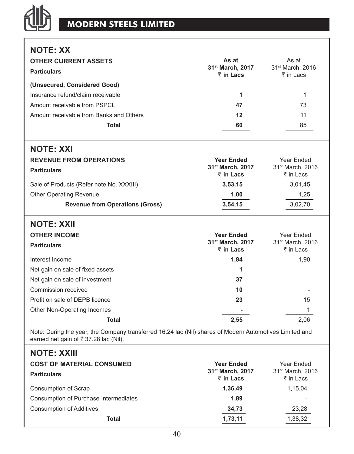## **MODERN STEELS LIMITED**

他

| <b>NOTE: XX</b><br><b>OTHER CURRENT ASSETS</b><br><b>Particulars</b><br>(Unsecured, Considered Good)                                             | As at<br>31 <sup>st</sup> March, 2017<br>$\bar{z}$ in Lacs | As at<br>31 <sup>st</sup> March, 2016<br>₹ in Lacs |
|--------------------------------------------------------------------------------------------------------------------------------------------------|------------------------------------------------------------|----------------------------------------------------|
| Insurance refund/claim receivable                                                                                                                | 1                                                          | 1                                                  |
| Amount receivable from PSPCL                                                                                                                     | 47                                                         | 73                                                 |
| Amount receivable from Banks and Others                                                                                                          | $12 \,$                                                    | 11                                                 |
| Total                                                                                                                                            | 60                                                         | 85                                                 |
| <b>NOTE: XXI</b>                                                                                                                                 |                                                            |                                                    |
| <b>REVENUE FROM OPERATIONS</b>                                                                                                                   | <b>Year Ended</b>                                          | Year Ended                                         |
| <b>Particulars</b>                                                                                                                               | 31st March, 2017<br>$\bar{z}$ in Lacs                      | 31st March, 2016<br>₹ in Lacs                      |
| Sale of Products (Refer note No. XXXIII)                                                                                                         | 3,53,15                                                    | 3,01,45                                            |
| <b>Other Operating Revenue</b>                                                                                                                   | 1,00                                                       | 1,25                                               |
| <b>Revenue from Operations (Gross)</b>                                                                                                           | 3,54,15                                                    | 3,02,70                                            |
| <b>NOTE: XXII</b>                                                                                                                                |                                                            |                                                    |
| <b>OTHER INCOME</b>                                                                                                                              | <b>Year Ended</b>                                          | Year Ended                                         |
| <b>Particulars</b>                                                                                                                               | 31 <sup>st</sup> March, 2017<br>₹ in Lacs                  | 31 <sup>st</sup> March, 2016<br>₹ in Lacs          |
| Interest Income                                                                                                                                  | 1.84                                                       | 1,90                                               |
| Net gain on sale of fixed assets                                                                                                                 | 1                                                          |                                                    |
| Net gain on sale of investment                                                                                                                   | 37                                                         |                                                    |
| Commission received                                                                                                                              | 10                                                         |                                                    |
| Profit on sale of DEPB licence                                                                                                                   | 23                                                         | 15                                                 |
| Other Non-Operating Incomes                                                                                                                      |                                                            | 1                                                  |
| Total                                                                                                                                            | 2,55                                                       | 2,06                                               |
| Note: During the year, the Company transferred 16.24 lac (Nil) shares of Modern Automotives Limited and<br>earned net gain of ₹ 37.28 lac (Nil). |                                                            |                                                    |
| <b>NOTE: XXIII</b>                                                                                                                               |                                                            |                                                    |

| <b>COST OF MATERIAL CONSUMED</b><br><b>Particulars</b> | <b>Year Ended</b><br>31 <sup>st</sup> March, 2017<br>₹ in Lacs | Year Ended<br>31 <sup>st</sup> March, 2016<br>₹ in Lacs |
|--------------------------------------------------------|----------------------------------------------------------------|---------------------------------------------------------|
| Consumption of Scrap                                   | 1,36,49                                                        | 1.15.04                                                 |
| Consumption of Purchase Intermediates                  | 1,89                                                           |                                                         |
| <b>Consumption of Additives</b>                        | 34,73                                                          | 23,28                                                   |
| Total                                                  | 1,73,11                                                        | 1,38,32                                                 |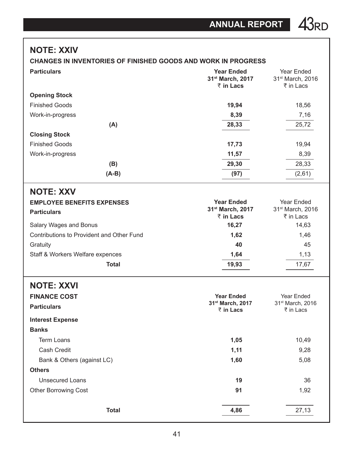### **NOTE: XXIV**

### **CHANGES IN INVENTORIES OF FINISHED GOODS AND WORK IN PROGRESS**

| <b>Particulars</b>                        | <b>Year Ended</b><br>31st March, 2017<br>$\bar{z}$ in Lacs | Year Ended<br>31 <sup>st</sup> March, 2016<br>₹ in Lacs |
|-------------------------------------------|------------------------------------------------------------|---------------------------------------------------------|
| <b>Opening Stock</b>                      |                                                            |                                                         |
| <b>Finished Goods</b>                     | 19,94                                                      | 18,56                                                   |
| Work-in-progress                          | 8,39                                                       | 7,16                                                    |
| (A)                                       | 28,33                                                      | 25,72                                                   |
| <b>Closing Stock</b>                      |                                                            |                                                         |
| <b>Finished Goods</b>                     | 17,73                                                      | 19,94                                                   |
| Work-in-progress                          | 11,57                                                      | 8,39                                                    |
| (B)                                       | 29,30                                                      | 28,33                                                   |
| $(A-B)$                                   | (97)                                                       | (2,61)                                                  |
| <b>NOTE: XXV</b>                          |                                                            |                                                         |
| <b>EMPLOYEE BENEFITS EXPENSES</b>         | <b>Year Ended</b>                                          | Year Ended                                              |
| <b>Particulars</b>                        | 31 <sup>st</sup> March, 2017                               | 31 <sup>st</sup> March, 2016                            |
|                                           | $\bar{z}$ in Lacs                                          | ₹ in Lacs                                               |
| Salary Wages and Bonus                    | 16,27                                                      | 14,63                                                   |
| Contributions to Provident and Other Fund | 1,62                                                       | 1,46                                                    |
| Gratuity                                  | 40                                                         | 45                                                      |
| Staff & Workers Welfare expences          | 1,64                                                       | 1,13                                                    |
| <b>Total</b>                              | 19,93                                                      | 17,67                                                   |

### **NOTE: XXVI FINANCE COST Year Ended 31st March, 2017** ₹ in Lacs Year Ended  $31<sup>st</sup> March, 2016$ <br>  $\overline{\xi}$  in Lacs Particulars **Particulars Particulars Particulars Particulars Particulars Particulars Particulars Particulars Particulars Particulars Particulars Particular Particular Particular Particular Pa Interest Expense Banks Term Loans 10,49 10,49**  Cash Credit **1,11** 9,28 Bank & Others (against LC) **1,60** 5,08 **Others** Unsecured Loans **19** 36 Other Borrowing Cost **91 1,92 1,92 Total 4,86** 27,13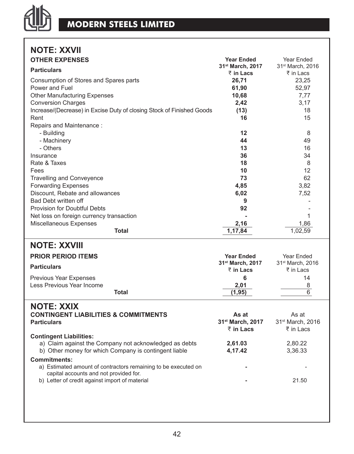

# **NOTE: XXVII**

| <b>OTHER EXPENSES</b>                                                 | <b>Year Ended</b>            | Year Ended                   |
|-----------------------------------------------------------------------|------------------------------|------------------------------|
| <b>Particulars</b>                                                    | 31 <sup>st</sup> March, 2017 | 31 <sup>st</sup> March, 2016 |
| Consumption of Stores and Spares parts                                | ₹ in Lacs<br>26,71           | ₹ in Lacs<br>23,25           |
| Power and Fuel                                                        | 61,90                        | 52,97                        |
| <b>Other Manufacturing Expenses</b>                                   | 10,68                        | 7,77                         |
| <b>Conversion Charges</b>                                             | 2,42                         | 3,17                         |
| Increase/(Decrease) in Excise Duty of closing Stock of Finished Goods | (13)                         | 18                           |
| Rent                                                                  | 16                           | 15                           |
| Repairs and Maintenance:                                              |                              |                              |
| - Building                                                            | 12                           | 8                            |
| - Machinery                                                           | 44                           | 49                           |
| - Others                                                              | 13                           | 16                           |
| Insurance                                                             | 36                           | 34                           |
| Rate & Taxes                                                          | 18                           | 8                            |
| Fees                                                                  | 10                           | 12                           |
| <b>Travelling and Conveyence</b>                                      | 73                           | 62                           |
| <b>Forwarding Expenses</b>                                            | 4,85                         | 3,82                         |
| Discount, Rebate and allowances                                       | 6,02                         | 7,52                         |
| <b>Bad Debt written off</b>                                           | 9                            | $\overline{\phantom{a}}$     |
| <b>Provision for Doubtful Debts</b>                                   | 92                           |                              |
| Net loss on foreign currency transaction                              |                              | 1                            |
| Miscellaneous Expenses                                                | 2,16                         | 1,86                         |
| <b>Total</b>                                                          | 1,17,84                      | 1,02,59                      |
| <b>NOTE: XXVIII</b>                                                   |                              |                              |
|                                                                       |                              |                              |
| <b>PRIOR PERIOD ITEMS</b>                                             | <b>Year Ended</b>            | Year Ended                   |
| <b>Particulars</b>                                                    | 31 <sup>st</sup> March, 2017 | 31 <sup>st</sup> March, 2016 |
|                                                                       | ₹ in Lacs                    | ₹ in Lacs                    |
| <b>Previous Year Expenses</b>                                         | 6                            | 14                           |
| Less Previous Year Income<br><b>Total</b>                             | 2,01<br>(1, 95)              | 8<br>$\overline{6}$          |
|                                                                       |                              |                              |
| <b>NOTE: XXIX</b>                                                     |                              |                              |
| <b>CONTINGENT LIABILITIES &amp; COMMITMENTS</b>                       | As at                        | As at                        |
| <b>Particulars</b>                                                    | 31st March, 2017             | 31st March, 2016             |
|                                                                       | ₹ in Lacs                    | ₹ in Lacs                    |
| <b>Contingent Liabilities:</b>                                        |                              |                              |
| a) Claim against the Company not acknowledged as debts                | 2,61.03                      | 2,80.22                      |
| b) Other money for which Company is contingent liable                 | 4,17.42                      | 3,36.33                      |
| <b>Commitments:</b>                                                   |                              |                              |
| a) Estimated amount of contractors remaining to be executed on        |                              |                              |
| capital accounts and not provided for.                                |                              |                              |
| b) Letter of credit against import of material                        |                              | 21.50                        |
|                                                                       |                              |                              |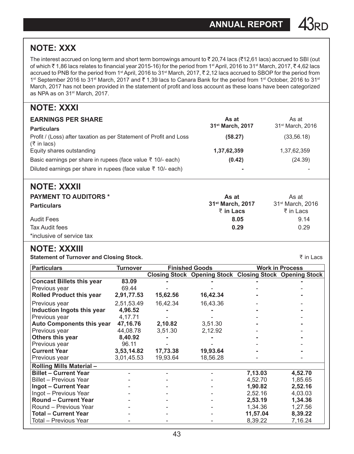## **NOTE: XXX**

The interest accrued on long term and short term borrowings amount to  $\bar{z}$  20,74 lacs ( $\bar{z}$ 12,61 lacs) accrued to SBI (out of which ₹ 1,86 lacs relates to financial year 2015-16) for the period from 1<sup>st</sup> April, 2016 to 31<sup>st</sup> March, 2017, ₹ 4,62 lacs accrued to PNB for the period from 1<sup>st</sup> April, 2016 to 31<sup>st</sup> March, 2017,  $\bar{\tau}$  2,12 lacs accrued to SBOP for the period from 1st September 2016 to 31st March, 2017 and ₹1,39 lacs to Canara Bank for the period from 1st October, 2016 to 31st March, 2017 has not been provided in the statement of profit and loss account as these loans have been categorized as NPA as on 31st March, 2017.

### **NOTE: XXXI**

| <b>EARNINGS PER SHARE</b><br><b>Particulars</b>                                   | As at<br>31 <sup>st</sup> March, 2017 | As at<br>31 <sup>st</sup> March, 2016 |  |
|-----------------------------------------------------------------------------------|---------------------------------------|---------------------------------------|--|
| Profit / (Loss) after taxation as per Statement of Profit and Loss<br>(₹ in lacs) | (58.27)                               | (33, 56.18)                           |  |
| Equity shares outstanding                                                         | 1,37,62,359                           | 1,37,62,359                           |  |
| Basic earnings per share in rupees (face value $\bar{z}$ 10/- each)               | (0.42)                                | (24.39)                               |  |
| Diluted earnings per share in rupees (face value $\bar{z}$ 10/- each)             |                                       |                                       |  |
| NOTE: XXXII                                                                       |                                       |                                       |  |
|                                                                                   | . .                                   | $\sim$ $\sim$                         |  |

| <b>PAYMENT TO AUDITORS *</b> | As at                        | As at                        |
|------------------------------|------------------------------|------------------------------|
| <b>Particulars</b>           | 31 <sup>st</sup> March, 2017 | 31 <sup>st</sup> March, 2016 |
|                              | ₹ in Lacs                    | ₹ in Lacs                    |
| <b>Audit Fees</b>            | 8.05                         | 9.14                         |
| Tax Audit fees               | 0.29                         | 0.29                         |
| *inclusive of service tax    |                              |                              |

### **NOTE: XXXIII**

**Statement of Turnover and Closing Stock.** M in Lacs and the statement of Turnover and Closing Stock.

| <b>Particulars</b>               | <b>Turnover</b> |          | <b>Finished Goods</b>                                          |          | <b>Work in Process</b> |
|----------------------------------|-----------------|----------|----------------------------------------------------------------|----------|------------------------|
|                                  |                 |          | <b>Closing Stock Opening Stock Closing Stock Opening Stock</b> |          |                        |
| <b>Concast Billets this year</b> | 83.09           |          |                                                                |          |                        |
| Previous year                    | 69.44           |          |                                                                |          |                        |
| <b>Rolled Product this year</b>  | 2,91,77.53      | 15,62.56 | 16,42.34                                                       |          |                        |
| Previous year                    | 2,51,53.49      | 16,42.34 | 16,43.36                                                       |          |                        |
| Induction Ingots this year       | 4,96.52         |          |                                                                |          |                        |
| Previous year                    | 4,17.71         |          |                                                                |          |                        |
| <b>Auto Components this year</b> | 47,16.76        | 2,10.82  | 3,51.30                                                        |          |                        |
| Previous year                    | 44,08.78        | 3,51.30  | 2,12.92                                                        |          |                        |
| <b>Others this year</b>          | 8,40.92         |          |                                                                |          |                        |
| Previous year                    | 96.11           |          |                                                                |          |                        |
| <b>Current Year</b>              | 3,53,14.82      | 17,73.38 | 19,93.64                                                       |          |                        |
| Previous year                    | 3,01,45.53      | 19,93.64 | 18,56.28                                                       |          |                        |
| <b>Rolling Mills Material -</b>  |                 |          |                                                                |          |                        |
| <b>Billet - Current Year</b>     |                 |          |                                                                | 7,13.03  | 4,52.70                |
| Billet – Previous Year           |                 |          |                                                                | 4,52.70  | 1,85.65                |
| <b>Ingot - Current Year</b>      |                 |          |                                                                | 1,90.82  | 2,52.16                |
| Ingot - Previous Year            |                 |          |                                                                | 2,52.16  | 4,03.03                |
| <b>Round - Current Year</b>      |                 |          |                                                                | 2,53.19  | 1,34.36                |
| Round – Previous Year            |                 |          |                                                                | 1.34.36  | 1,27.56                |
| <b>Total - Current Year</b>      |                 |          |                                                                | 11,57.04 | 8,39.22                |
| Total - Previous Year            |                 |          |                                                                | 8,39.22  | 7,16.24                |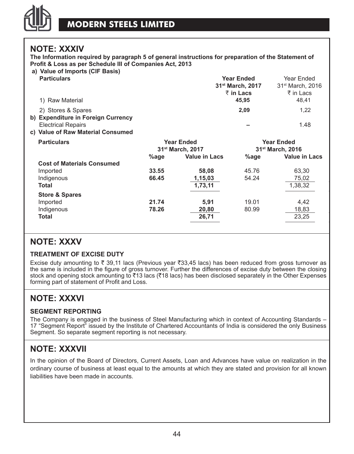

### **NOTE: XXXIV**

**The Information required by paragraph 5 of general instructions for preparation of the Statement of Profit & Loss as per Schedule III of Companies Act, 2013**

#### **a) Value of Imports (CIF Basis)**

| $a)$ value of imports (on Basis)<br><b>Particulars</b><br>1) Raw Material                                                  |         |                                                   | <b>Year Ended</b><br>31 <sup>st</sup> March, 2017<br>₹ in Lacs<br>45,95 | Year Ended<br>31 <sup>st</sup> March, 2016<br>₹ in Lacs<br>48,41 |
|----------------------------------------------------------------------------------------------------------------------------|---------|---------------------------------------------------|-------------------------------------------------------------------------|------------------------------------------------------------------|
| 2) Stores & Spares<br>b) Expenditure in Foreign Currency<br><b>Electrical Repairs</b><br>c) Value of Raw Material Consumed |         |                                                   | 2,09                                                                    | 1,22<br>1.48                                                     |
| <b>Particulars</b>                                                                                                         |         | <b>Year Ended</b><br>31 <sup>st</sup> March, 2017 |                                                                         | <b>Year Ended</b><br>31 <sup>st</sup> March, 2016                |
|                                                                                                                            | $%$ age | <b>Value in Lacs</b>                              | %age                                                                    | <b>Value in Lacs</b>                                             |
| <b>Cost of Materials Consumed</b>                                                                                          |         |                                                   |                                                                         |                                                                  |
| Imported                                                                                                                   | 33.55   | 58,08                                             | 45.76                                                                   | 63,30                                                            |
| Indigenous                                                                                                                 | 66.45   | 1,15,03                                           | 54.24                                                                   | 75,02                                                            |
| Total                                                                                                                      |         | 1,73,11                                           |                                                                         | 1,38,32                                                          |
| <b>Store &amp; Spares</b>                                                                                                  |         |                                                   |                                                                         |                                                                  |
| Imported                                                                                                                   | 21.74   | 5,91                                              | 19.01                                                                   | 4,42                                                             |
| Indigenous                                                                                                                 | 78.26   | 20,80                                             | 80.99                                                                   | 18,83                                                            |
| Total                                                                                                                      |         | 26,71                                             |                                                                         | 23,25                                                            |
|                                                                                                                            |         |                                                   |                                                                         |                                                                  |

### **NOTE: XXXV**

### **TREATMENT OF EXCISE DUTY**

Excise duty amounting to  $\bar{\tau}$  39,11 lacs (Previous year  $\bar{\tau}$ 33,45 lacs) has been reduced from gross turnover as the same is included in the figure of gross turnover. Further the differences of excise duty between the closing stock and opening stock amounting to  $\overline{5}13$  lacs ( $\overline{5}18$  lacs) has been disclosed separately in the Other Expenses forming part of statement of Profit and Loss.

### **NOTE: XXXVI**

### **SEGMENT REPORTING**

The Company is engaged in the business of Steel Manufacturing which in context of Accounting Standards – 17 "Segment Report" issued by the Institute of Chartered Accountants of India is considered the only Business Segment. So separate segment reporting is not necessary.

### **NOTE: XXXVII**

In the opinion of the Board of Directors, Current Assets, Loan and Advances have value on realization in the ordinary course of business at least equal to the amounts at which they are stated and provision for all known liabilities have been made in accounts.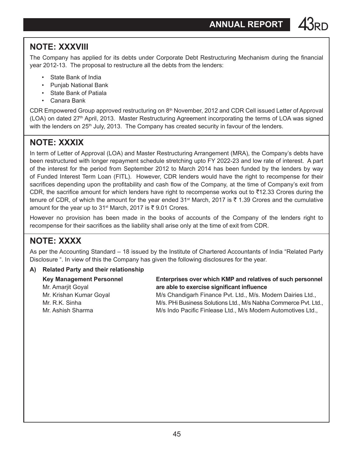## **NOTE: XXXVIII**

The Company has applied for its debts under Corporate Debt Restructuring Mechanism during the financial year 2012-13. The proposal to restructure all the debts from the lenders:

- State Bank of India
- Punjab National Bank
- State Bank of Patiala
- Canara Bank

CDR Empowered Group approved restructuring on 8<sup>th</sup> November, 2012 and CDR Cell issued Letter of Approval (LOA) on dated 27th April, 2013. Master Restructuring Agreement incorporating the terms of LOA was signed with the lenders on 25<sup>th</sup> July, 2013. The Company has created security in favour of the lenders.

## **NOTE: XXXIX**

In term of Letter of Approval (LOA) and Master Restructuring Arrangement (MRA), the Company's debts have been restructured with longer repayment schedule stretching upto FY 2022-23 and low rate of interest. A part of the interest for the period from September 2012 to March 2014 has been funded by the lenders by way of Funded Interest Term Loan (FITL). However, CDR lenders would have the right to recompense for their sacrifices depending upon the profitability and cash flow of the Company, at the time of Company's exit from CDR, the sacrifice amount for which lenders have right to recompense works out to  $\bar{\tau}$ 12.33 Crores during the tenure of CDR, of which the amount for the year ended 31<sup>st</sup> March, 2017 is  $\bar{\tau}$  1.39 Crores and the cumulative amount for the year up to 31<sup>st</sup> March, 2017 is  $\overline{\xi}$  9.01 Crores.

However no provision has been made in the books of accounts of the Company of the lenders right to recompense for their sacrifices as the liability shall arise only at the time of exit from CDR.

## **NOTE: XXXX**

As per the Accounting Standard – 18 issued by the Institute of Chartered Accountants of India "Related Party Disclosure ". In view of this the Company has given the following disclosures for the year.

### **A) Related Party and their relationship**

| <b>Key Management Personnel</b> | Enterprises over which KMP and relatives of such personnel      |
|---------------------------------|-----------------------------------------------------------------|
| Mr. Amarjit Goyal               | are able to exercise significant influence                      |
| Mr. Krishan Kumar Goyal         | M/s Chandigarh Finance Pvt. Ltd., M/s. Modern Dairies Ltd.,     |
| Mr. R.K. Sinha                  | M/s. PHi Business Solutions Ltd., M/s Nabha Commerce Pvt. Ltd., |
| Mr. Ashish Sharma               | M/s Indo Pacific Finlease Ltd., M/s Modern Automotives Ltd.,    |